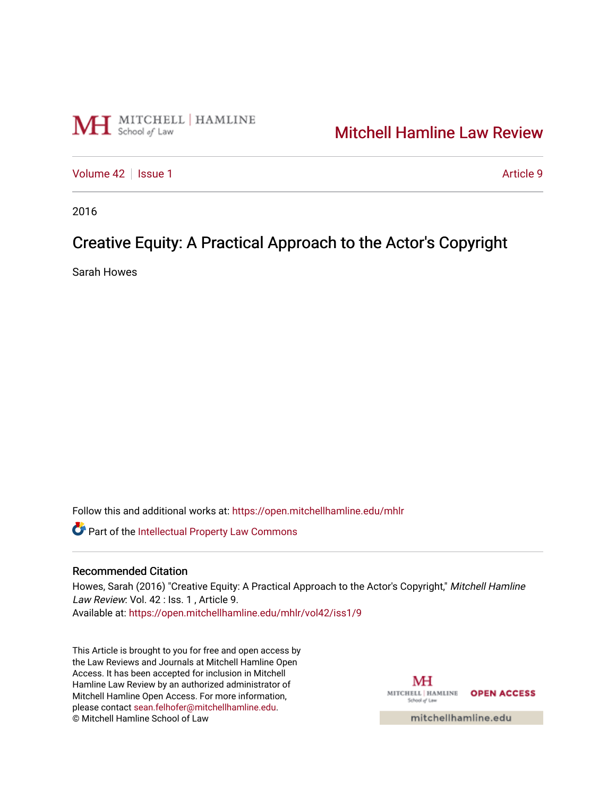

# [Mitchell Hamline Law Review](https://open.mitchellhamline.edu/mhlr)

[Volume 42](https://open.mitchellhamline.edu/mhlr/vol42) | [Issue 1](https://open.mitchellhamline.edu/mhlr/vol42/iss1) Article 9

2016

# Creative Equity: A Practical Approach to the Actor's Copyright

Sarah Howes

Follow this and additional works at: [https://open.mitchellhamline.edu/mhlr](https://open.mitchellhamline.edu/mhlr?utm_source=open.mitchellhamline.edu%2Fmhlr%2Fvol42%2Fiss1%2F9&utm_medium=PDF&utm_campaign=PDFCoverPages) 

**Part of the Intellectual Property Law Commons** 

# Recommended Citation

Howes, Sarah (2016) "Creative Equity: A Practical Approach to the Actor's Copyright," Mitchell Hamline Law Review: Vol. 42 : Iss. 1, Article 9. Available at: [https://open.mitchellhamline.edu/mhlr/vol42/iss1/9](https://open.mitchellhamline.edu/mhlr/vol42/iss1/9?utm_source=open.mitchellhamline.edu%2Fmhlr%2Fvol42%2Fiss1%2F9&utm_medium=PDF&utm_campaign=PDFCoverPages) 

This Article is brought to you for free and open access by the Law Reviews and Journals at Mitchell Hamline Open Access. It has been accepted for inclusion in Mitchell Hamline Law Review by an authorized administrator of Mitchell Hamline Open Access. For more information, please contact [sean.felhofer@mitchellhamline.edu.](mailto:sean.felhofer@mitchellhamline.edu) © Mitchell Hamline School of Law

MH MITCHELL | HAMLINE OPEN ACCESS School of Law

mitchellhamline.edu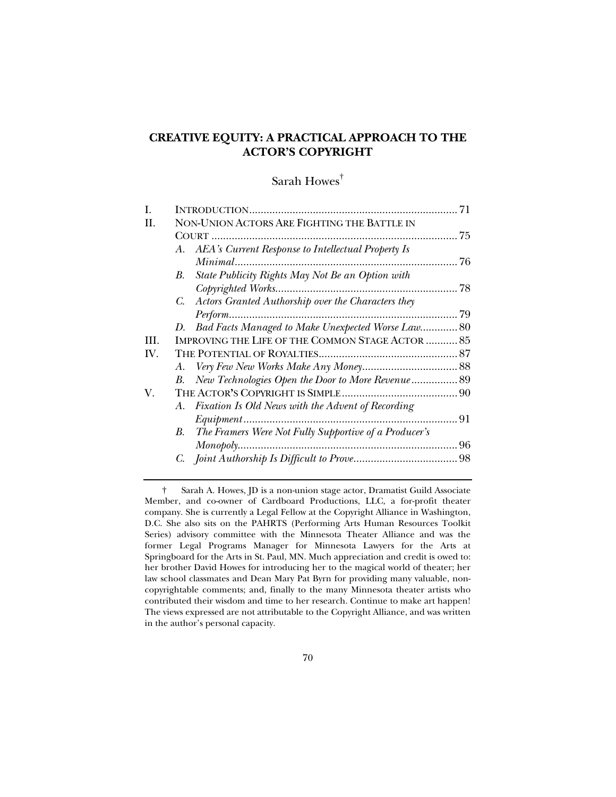# **CREATIVE EQUITY: A PRACTICAL APPROACH TO THE ACTOR'S COPYRIGHT**

# Sarah Howes†

| Н.  | NON-UNION ACTORS ARE FIGHTING THE BATTLE IN                 |    |
|-----|-------------------------------------------------------------|----|
|     |                                                             | 75 |
|     | A. AEA's Current Response to Intellectual Property Is       |    |
|     |                                                             | 76 |
|     | State Publicity Rights May Not Be an Option with<br>В.      |    |
|     |                                                             | 78 |
|     | Actors Granted Authorship over the Characters they<br>C.    |    |
|     | Perform                                                     | 79 |
|     | D. Bad Facts Managed to Make Unexpected Worse Law 80        |    |
| HL. | <b>IMPROVING THE LIFE OF THE COMMON STAGE ACTOR  85</b>     |    |
| IV. |                                                             |    |
|     | A.                                                          |    |
|     | New Technologies Open the Door to More Revenue 89<br>В.     |    |
| V.  |                                                             |    |
|     | A. Fixation Is Old News with the Advent of Recording        |    |
|     |                                                             | 91 |
|     | The Framers Were Not Fully Supportive of a Producer's<br>В. |    |
|     |                                                             | 96 |
|     |                                                             |    |
|     |                                                             |    |

 <sup>†</sup> Sarah A. Howes, JD is a non-union stage actor, Dramatist Guild Associate Member, and co-owner of Cardboard Productions, LLC, a for-profit theater company. She is currently a Legal Fellow at the Copyright Alliance in Washington, D.C. She also sits on the PAHRTS (Performing Arts Human Resources Toolkit Series) advisory committee with the Minnesota Theater Alliance and was the former Legal Programs Manager for Minnesota Lawyers for the Arts at Springboard for the Arts in St. Paul, MN. Much appreciation and credit is owed to: her brother David Howes for introducing her to the magical world of theater; her law school classmates and Dean Mary Pat Byrn for providing many valuable, noncopyrightable comments; and, finally to the many Minnesota theater artists who contributed their wisdom and time to her research. Continue to make art happen! The views expressed are not attributable to the Copyright Alliance, and was written in the author's personal capacity.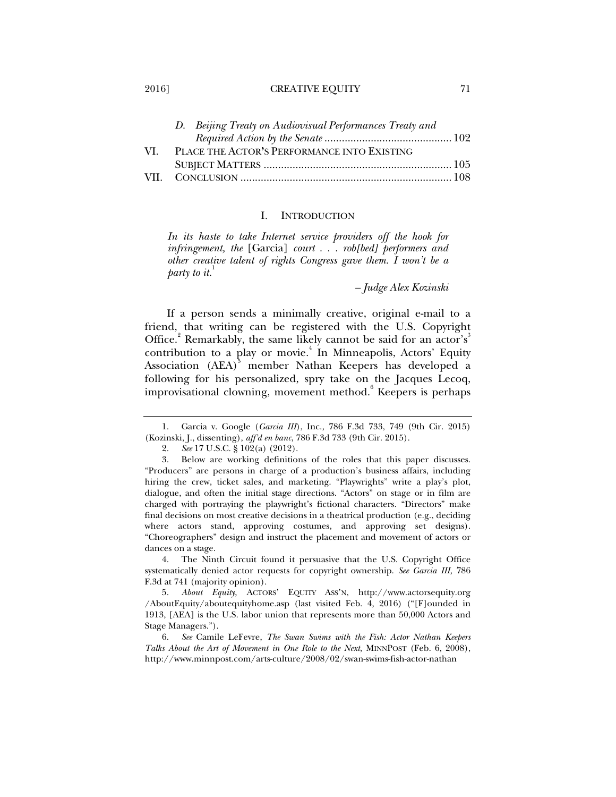#### 2016] CREATIVE EQUITY 71

| D. Beijing Treaty on Audiovisual Performances Treaty and |  |
|----------------------------------------------------------|--|
|                                                          |  |
| PLACE THE ACTOR'S PERFORMANCE INTO EXISTING              |  |
|                                                          |  |
|                                                          |  |
|                                                          |  |

# I. INTRODUCTION

*In its haste to take Internet service providers off the hook for infringement, the* [Garcia] *court . . . rob[bed] performers and other creative talent of rights Congress gave them. I won't be a party to it.*<sup>1</sup>

*– Judge Alex Kozinski* 

If a person sends a minimally creative, original e-mail to a friend, that writing can be registered with the U.S. Copyright Office.<sup>2</sup> Remarkably, the same likely cannot be said for an actor's<sup>3</sup> contribution to a play or movie.<sup>4</sup> In Minneapolis, Actors' Equity Association (AEA)<sup>5</sup> member Nathan Keepers has developed a following for his personalized, spry take on the Jacques Lecoq, improvisational clowning, movement method.<sup>6</sup> Keepers is perhaps

 4. The Ninth Circuit found it persuasive that the U.S. Copyright Office systematically denied actor requests for copyright ownership. *See Garcia III*, 786 F.3d at 741 (majority opinion).

 5. *About Equity*, ACTORS' EQUITY ASS'N, http://www.actorsequity.org /AboutEquity/aboutequityhome.asp (last visited Feb. 4, 2016) ("[F]ounded in 1913, [AEA] is the U.S. labor union that represents more than 50,000 Actors and Stage Managers.").

 6. *See* Camile LeFevre, *The Swan Swims with the Fish: Actor Nathan Keepers Talks About the Art of Movement in One Role to the Next*, MINNPOST (Feb. 6, 2008), http://www.minnpost.com/arts-culture/2008/02/swan-swims-fish-actor-nathan

 <sup>1.</sup> Garcia v. Google (*Garcia III*), Inc., 786 F.3d 733, 749 (9th Cir. 2015) (Kozinski, J., dissenting), *aff'd en banc*, 786 F.3d 733 (9th Cir. 2015).

 <sup>2.</sup> *See* 17 U.S.C. § 102(a) (2012).

 <sup>3.</sup> Below are working definitions of the roles that this paper discusses. "Producers" are persons in charge of a production's business affairs, including hiring the crew, ticket sales, and marketing. "Playwrights" write a play's plot, dialogue, and often the initial stage directions. "Actors" on stage or in film are charged with portraying the playwright's fictional characters. "Directors" make final decisions on most creative decisions in a theatrical production (e.g., deciding where actors stand, approving costumes, and approving set designs). "Choreographers" design and instruct the placement and movement of actors or dances on a stage.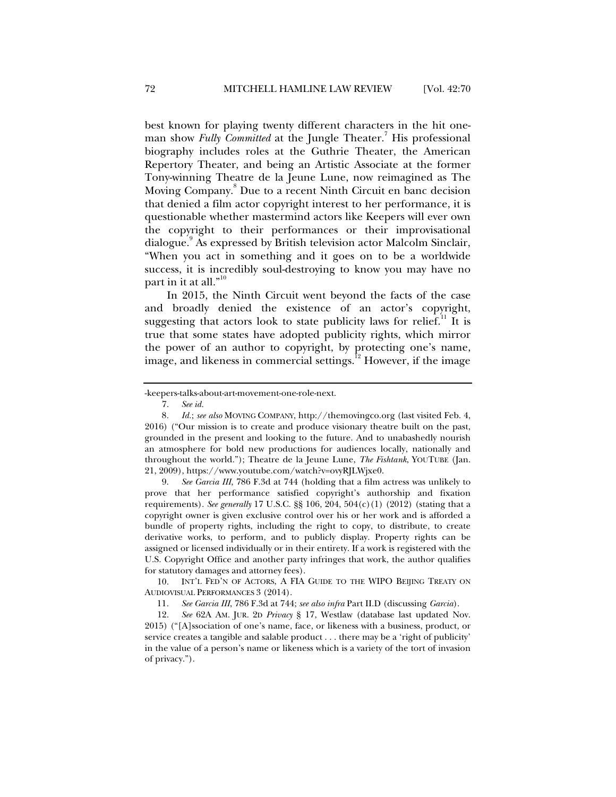best known for playing twenty different characters in the hit oneman show *Fully Committed* at the Jungle Theater.<sup>7</sup> His professional biography includes roles at the Guthrie Theater, the American Repertory Theater, and being an Artistic Associate at the former Tony-winning Theatre de la Jeune Lune, now reimagined as The Moving Company.<sup>8</sup> Due to a recent Ninth Circuit en banc decision that denied a film actor copyright interest to her performance, it is questionable whether mastermind actors like Keepers will ever own the copyright to their performances or their improvisational dialogue.<sup>9</sup> As expressed by British television actor Malcolm Sinclair, "When you act in something and it goes on to be a worldwide success, it is incredibly soul-destroying to know you may have no part in it at all."<sup>10</sup>

In 2015, the Ninth Circuit went beyond the facts of the case and broadly denied the existence of an actor's copyright, suggesting that actors look to state publicity laws for relief.<sup>11</sup> It is true that some states have adopted publicity rights, which mirror the power of an author to copyright, by protecting one's name, image, and likeness in commercial settings.<sup>12</sup> However, if the image

 9. *See Garcia III*, 786 F.3d at 744 (holding that a film actress was unlikely to prove that her performance satisfied copyright's authorship and fixation requirements). *See generally* 17 U.S.C. §§ 106, 204, 504(c)(1) (2012) (stating that a copyright owner is given exclusive control over his or her work and is afforded a bundle of property rights, including the right to copy, to distribute, to create derivative works, to perform, and to publicly display. Property rights can be assigned or licensed individually or in their entirety. If a work is registered with the U.S. Copyright Office and another party infringes that work, the author qualifies for statutory damages and attorney fees).

 10. INT'L FED'N OF ACTORS, A FIA GUIDE TO THE WIPO BEIJING TREATY ON AUDIOVISUAL PERFORMANCES 3 (2014).

11*. See Garcia III*, 786 F.3d at 744; *see also infra* Part II.D (discussing *Garcia*).

 12. *See* 62A AM. JUR. 2D *Privacy* § 17, Westlaw (database last updated Nov. 2015) ("[A]ssociation of one's name, face, or likeness with a business, product, or service creates a tangible and salable product . . . there may be a 'right of publicity' in the value of a person's name or likeness which is a variety of the tort of invasion of privacy.").

<sup>-</sup>keepers-talks-about-art-movement-one-role-next.

 <sup>7.</sup> *See id.*

<sup>8</sup>*. Id.*; *see also* MOVING COMPANY, http://themovingco.org (last visited Feb. 4, 2016) ("Our mission is to create and produce visionary theatre built on the past, grounded in the present and looking to the future. And to unabashedly nourish an atmosphere for bold new productions for audiences locally, nationally and throughout the world."); Theatre de la Jeune Lune, *The Fishtank*, YOUTUBE (Jan. 21, 2009), https://www.youtube.com/watch?v=ovyRJLWjxe0.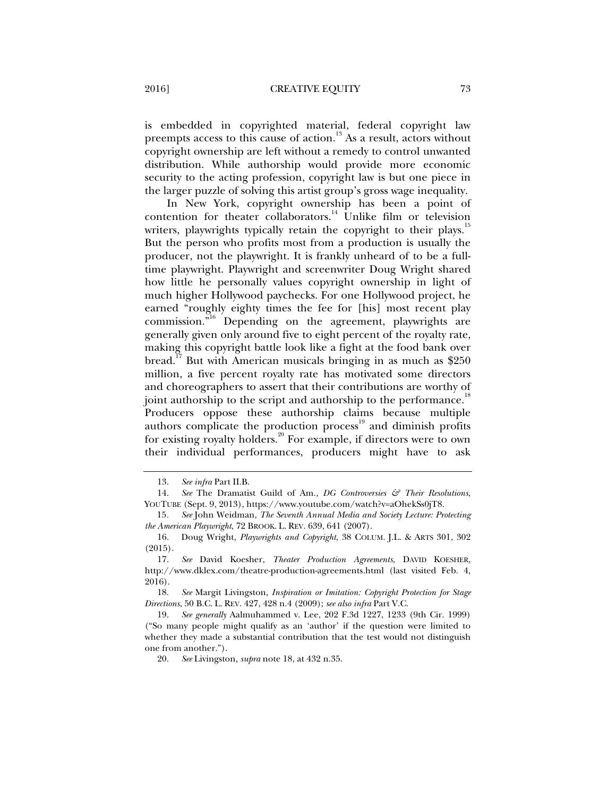is embedded in copyrighted material, federal copyright law preempts access to this cause of action.<sup>13</sup> As a result, actors without copyright ownership are left without a remedy to control unwanted distribution. While authorship would provide more economic security to the acting profession, copyright law is but one piece in the larger puzzle of solving this artist group's gross wage inequality.

In New York, copyright ownership has been a point of contention for theater collaborators.<sup>14</sup> Unlike film or television writers, playwrights typically retain the copyright to their plays.<sup>15</sup> But the person who profits most from a production is usually the producer, not the playwright. It is frankly unheard of to be a fulltime playwright. Playwright and screenwriter Doug Wright shared how little he personally values copyright ownership in light of much higher Hollywood paychecks. For one Hollywood project, he earned "roughly eighty times the fee for [his] most recent play commission."<sup>16</sup> Depending on the agreement, playwrights are generally given only around five to eight percent of the royalty rate, making this copyright battle look like a fight at the food bank over bread.<sup>17</sup> But with American musicals bringing in as much as  $$250$ million, a five percent royalty rate has motivated some directors and choreographers to assert that their contributions are worthy of joint authorship to the script and authorship to the performance.<sup>18</sup> Producers oppose these authorship claims because multiple authors complicate the production process<sup>19</sup> and diminish profits for existing royalty holders.<sup>20</sup> For example, if directors were to own their individual performances, producers might have to ask

 18. *See* Margit Livingston, *Inspiration or Imitation: Copyright Protection for Stage Directions*, 50 B.C. L. REV. 427, 428 n.4 (2009); *see also infra* Part V.C.

 19. *See generally* Aalmuhammed v. Lee, 202 F.3d 1227, 1233 (9th Cir. 1999) ("So many people might qualify as an 'author' if the question were limited to whether they made a substantial contribution that the test would not distinguish one from another.").

20. *See* Livingston, *supra* note 18, at 432 n.35.

 <sup>13.</sup> *See infra* Part II.B.

 <sup>14.</sup> *See* The Dramatist Guild of Am.*, DG Controversies & Their Resolutions*, YOUTUBE (Sept. 9, 2013), https://www.youtube.com/watch?v=aOhekSs0jT8.

<sup>15</sup>*. See* John Weidman, *The Seventh Annual Media and Society Lecture: Protecting the American Playwright*, 72 BROOK. L. REV. 639, 641 (2007).

 <sup>16.</sup> Doug Wright, *Playwrights and Copyright*, 38 COLUM. J.L. & ARTS 301, 302 (2015).

 <sup>17.</sup> *See* David Koesher, *Theater Production Agreements*, DAVID KOESHER, http://www.dklex.com/theatre-production-agreements.html (last visited Feb. 4, 2016).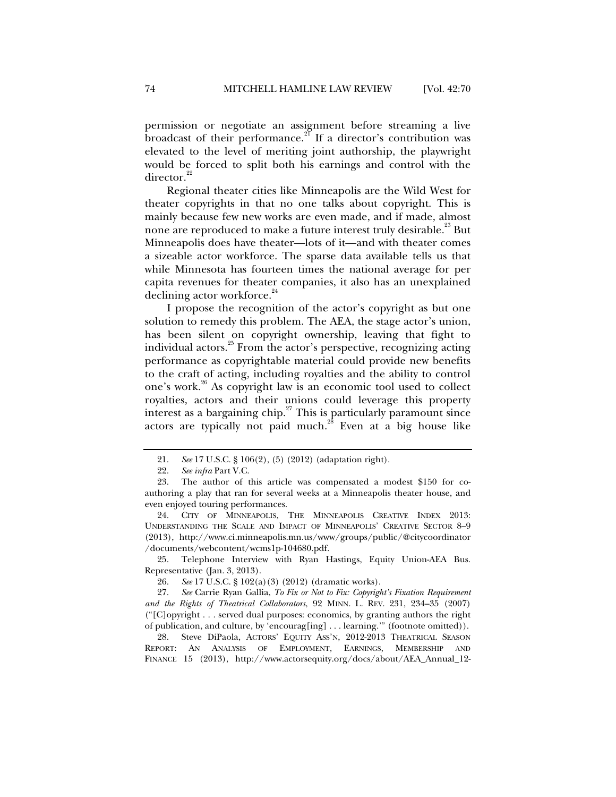permission or negotiate an assignment before streaming a live broadcast of their performance.<sup>21</sup> If a director's contribution was elevated to the level of meriting joint authorship, the playwright would be forced to split both his earnings and control with the director.<sup>22</sup>

Regional theater cities like Minneapolis are the Wild West for theater copyrights in that no one talks about copyright. This is mainly because few new works are even made, and if made, almost none are reproduced to make a future interest truly desirable.<sup>23</sup> But Minneapolis does have theater—lots of it—and with theater comes a sizeable actor workforce. The sparse data available tells us that while Minnesota has fourteen times the national average for per capita revenues for theater companies, it also has an unexplained declining actor workforce.<sup>24</sup>

I propose the recognition of the actor's copyright as but one solution to remedy this problem. The AEA, the stage actor's union, has been silent on copyright ownership, leaving that fight to individual actors.<sup>25</sup> From the actor's perspective, recognizing acting performance as copyrightable material could provide new benefits to the craft of acting, including royalties and the ability to control one's work.<sup>26</sup> As copyright law is an economic tool used to collect royalties, actors and their unions could leverage this property interest as a bargaining chip. $27$  This is particularly paramount since actors are typically not paid much.<sup>28</sup> Even at a big house like

 25. Telephone Interview with Ryan Hastings, Equity Union-AEA Bus. Representative (Jan. 3, 2013).

 <sup>21.</sup> *See* 17 U.S.C. § 106(2), (5) (2012) (adaptation right).

 <sup>22.</sup> *See infra* Part V.C.

 <sup>23.</sup> The author of this article was compensated a modest \$150 for coauthoring a play that ran for several weeks at a Minneapolis theater house, and even enjoyed touring performances.

 <sup>24.</sup> CITY OF MINNEAPOLIS, THE MINNEAPOLIS CREATIVE INDEX 2013: UNDERSTANDING THE SCALE AND IMPACT OF MINNEAPOLIS' CREATIVE SECTOR 8–9 (2013), http://www.ci.minneapolis.mn.us/www/groups/public/@citycoordinator /documents/webcontent/wcms1p-104680.pdf.

 <sup>26.</sup> *See* 17 U.S.C. § 102(a)(3) (2012) (dramatic works).

 <sup>27.</sup> *See* Carrie Ryan Gallia, *To Fix or Not to Fix: Copyright's Fixation Requirement and the Rights of Theatrical Collaborators*, 92 MINN. L. REV. 231, 234–35 (2007) ("[C]opyright . . . served dual purposes: economics, by granting authors the right of publication, and culture, by 'encourag[ing] . . . learning.'" (footnote omitted)).

 <sup>28.</sup> Steve DiPaola, ACTORS' EQUITY ASS'N, 2012-2013 THEATRICAL SEASON REPORT: AN ANALYSIS OF EMPLOYMENT, EARNINGS, MEMBERSHIP AND FINANCE 15 (2013), http://www.actorsequity.org/docs/about/AEA\_Annual\_12-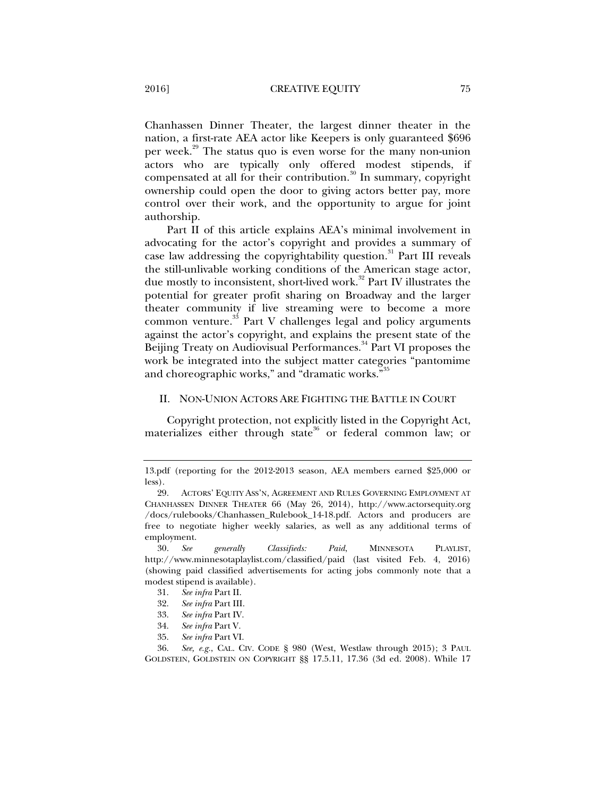Chanhassen Dinner Theater, the largest dinner theater in the nation, a first-rate AEA actor like Keepers is only guaranteed \$696 per week.<sup>29</sup> The status quo is even worse for the many non-union actors who are typically only offered modest stipends, if compensated at all for their contribution. $\frac{30}{10}$  In summary, copyright ownership could open the door to giving actors better pay, more control over their work, and the opportunity to argue for joint authorship.

Part II of this article explains AEA's minimal involvement in advocating for the actor's copyright and provides a summary of case law addressing the copyrightability question.<sup>31</sup> Part III reveals the still-unlivable working conditions of the American stage actor, due mostly to inconsistent, short-lived work.<sup>32</sup> Part IV illustrates the potential for greater profit sharing on Broadway and the larger theater community if live streaming were to become a more common venture. $33$  Part V challenges legal and policy arguments against the actor's copyright, and explains the present state of the Beijing Treaty on Audiovisual Performances.<sup>34</sup> Part VI proposes the work be integrated into the subject matter categories "pantomime and choreographic works," and "dramatic works."

# II. NON-UNION ACTORS ARE FIGHTING THE BATTLE IN COURT

Copyright protection, not explicitly listed in the Copyright Act, materializes either through state<sup>36</sup> or federal common law; or

- 33. *See infra* Part IV.
- 34. *See infra* Part V.
- 35. *See infra* Part VI.

 36. *See, e.g.*, CAL. CIV. CODE § 980 (West, Westlaw through 2015); 3 PAUL GOLDSTEIN, GOLDSTEIN ON COPYRIGHT §§ 17.5.11, 17.36 (3d ed. 2008). While 17

<sup>13.</sup>pdf (reporting for the 2012-2013 season, AEA members earned \$25,000 or less).

 <sup>29.</sup> ACTORS' EQUITY ASS'N, AGREEMENT AND RULES GOVERNING EMPLOYMENT AT CHANHASSEN DINNER THEATER 66 (May 26, 2014), http://www.actorsequity.org /docs/rulebooks/Chanhassen\_Rulebook\_14-18.pdf. Actors and producers are free to negotiate higher weekly salaries, as well as any additional terms of employment.

 <sup>30.</sup> *See generally Classifieds: Paid*, MINNESOTA PLAYLIST, http://www.minnesotaplaylist.com/classified/paid (last visited Feb. 4, 2016) (showing paid classified advertisements for acting jobs commonly note that a modest stipend is available).

 <sup>31.</sup> *See infra* Part II.

 <sup>32.</sup> *See infra* Part III.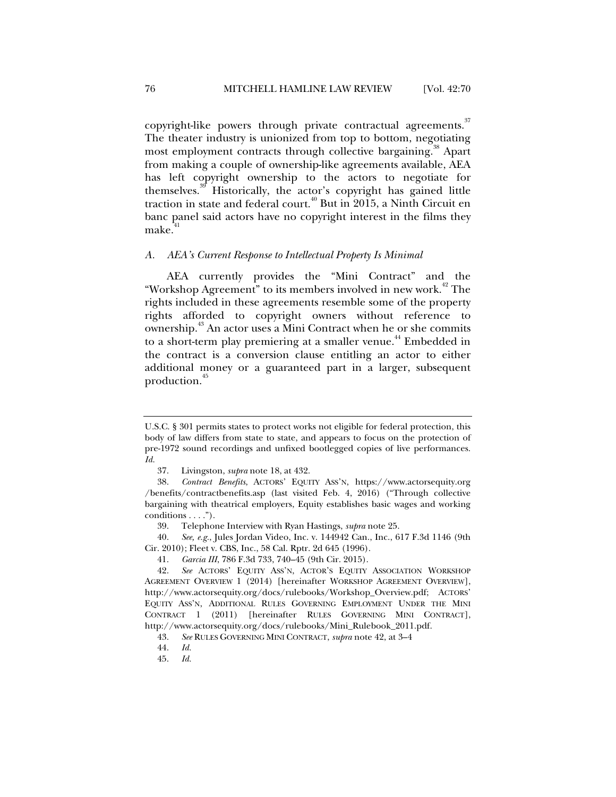copyright-like powers through private contractual agreements.<sup>37</sup> The theater industry is unionized from top to bottom, negotiating most employment contracts through collective bargaining.<sup>38</sup> Apart from making a couple of ownership-like agreements available, AEA has left copyright ownership to the actors to negotiate for themselves.39 Historically, the actor's copyright has gained little traction in state and federal court.<sup> $40$ </sup> But in 2015, a Ninth Circuit en banc panel said actors have no copyright interest in the films they make.<sup>4</sup>

# *A. AEA's Current Response to Intellectual Property Is Minimal*

AEA currently provides the "Mini Contract" and the "Workshop Agreement" to its members involved in new work.<sup>42</sup> The rights included in these agreements resemble some of the property rights afforded to copyright owners without reference to ownership.<sup>43</sup> An actor uses a Mini Contract when he or she commits to a short-term play premiering at a smaller venue.<sup>44</sup> Embedded in the contract is a conversion clause entitling an actor to either additional money or a guaranteed part in a larger, subsequent production.<sup>45</sup>

U.S.C. § 301 permits states to protect works not eligible for federal protection, this body of law differs from state to state, and appears to focus on the protection of pre-1972 sound recordings and unfixed bootlegged copies of live performances. *Id.*

 <sup>37.</sup> Livingston, *supra* note 18, at 432.

 <sup>38.</sup> *Contract Benefits*, ACTORS' EQUITY ASS'N, https://www.actorsequity.org /benefits/contractbenefits.asp (last visited Feb. 4, 2016) ("Through collective bargaining with theatrical employers, Equity establishes basic wages and working conditions . . . .").

 <sup>39.</sup> Telephone Interview with Ryan Hastings, *supra* note 25.

 <sup>40.</sup> *See, e.g.*, Jules Jordan Video, Inc. v. 144942 Can., Inc., 617 F.3d 1146 (9th Cir. 2010); Fleet v. CBS, Inc., 58 Cal. Rptr. 2d 645 (1996).

 <sup>41.</sup> *Garcia III*, 786 F.3d 733, 740–45 (9th Cir. 2015).

 <sup>42.</sup> *See* ACTORS' EQUITY ASS'N, ACTOR'S EQUITY ASSOCIATION WORKSHOP AGREEMENT OVERVIEW 1 (2014) [hereinafter WORKSHOP AGREEMENT OVERVIEW], http://www.actorsequity.org/docs/rulebooks/Workshop\_Overview.pdf; ACTORS' EQUITY ASS'N, ADDITIONAL RULES GOVERNING EMPLOYMENT UNDER THE MINI CONTRACT 1 (2011) [hereinafter RULES GOVERNING MINI CONTRACT], http://www.actorsequity.org/docs/rulebooks/Mini\_Rulebook\_2011.pdf.

 <sup>43.</sup> *See* RULES GOVERNING MINI CONTRACT, *supra* note 42, at 3–4

 <sup>44.</sup> *Id.*

 <sup>45.</sup> *Id.*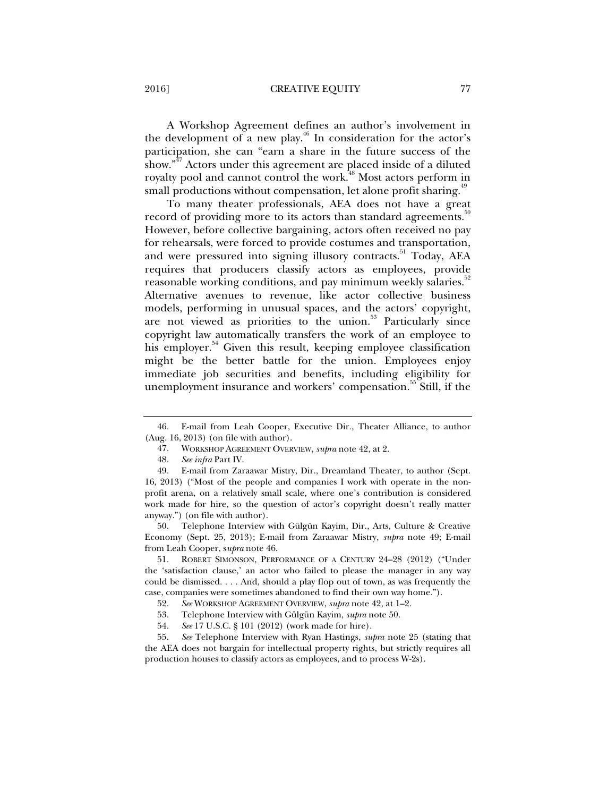## 2016] **CREATIVE EQUITY** 77

A Workshop Agreement defines an author's involvement in the development of a new play.<sup>46</sup> In consideration for the actor's participation, she can "earn a share in the future success of the show."<sup>47</sup> Actors under this agreement are placed inside of a diluted royalty pool and cannot control the work.<sup>48</sup> Most actors perform in small productions without compensation, let alone profit sharing.<sup>49</sup>

To many theater professionals, AEA does not have a great record of providing more to its actors than standard agreements.<sup>50</sup> However, before collective bargaining, actors often received no pay for rehearsals, were forced to provide costumes and transportation, and were pressured into signing illusory contracts.<sup>51</sup> Today, AEA requires that producers classify actors as employees, provide reasonable working conditions, and pay minimum weekly salaries.<sup>52</sup> Alternative avenues to revenue, like actor collective business models, performing in unusual spaces, and the actors' copyright, are not viewed as priorities to the union. $53$  Particularly since copyright law automatically transfers the work of an employee to his employer.<sup>54</sup> Given this result, keeping employee classification might be the better battle for the union. Employees enjoy immediate job securities and benefits, including eligibility for unemployment insurance and workers' compensation.<sup>35</sup> Still, if the

 <sup>46.</sup> E-mail from Leah Cooper, Executive Dir., Theater Alliance, to author (Aug. 16, 2013) (on file with author).

 <sup>47.</sup> WORKSHOP AGREEMENT OVERVIEW, *supra* note 42, at 2.

 <sup>48.</sup> *See infra* Part IV.

 <sup>49.</sup> E-mail from Zaraawar Mistry, Dir., Dreamland Theater, to author (Sept. 16, 2013) ("Most of the people and companies I work with operate in the nonprofit arena, on a relatively small scale, where one's contribution is considered work made for hire, so the question of actor's copyright doesn't really matter anyway.") (on file with author).

 <sup>50.</sup> Telephone Interview with Gülgün Kayim, Dir., Arts, Culture & Creative Economy (Sept. 25, 2013); E-mail from Zaraawar Mistry, *supra* note 49; E-mail from Leah Cooper, s*upra* note 46.

 <sup>51.</sup> ROBERT SIMONSON, PERFORMANCE OF A CENTURY 24–28 (2012) ("Under the 'satisfaction clause,' an actor who failed to please the manager in any way could be dismissed. . . . And, should a play flop out of town, as was frequently the case, companies were sometimes abandoned to find their own way home.").

 <sup>52.</sup> *See* WORKSHOP AGREEMENT OVERVIEW, *supra* note 42, at 1–2.

 <sup>53.</sup> Telephone Interview with Gülgün Kayim, *supra* note 50.

 <sup>54.</sup> *See* 17 U.S.C. § 101 (2012) (work made for hire).

 <sup>55.</sup> *See* Telephone Interview with Ryan Hastings, *supra* note 25 (stating that the AEA does not bargain for intellectual property rights, but strictly requires all production houses to classify actors as employees, and to process W-2s).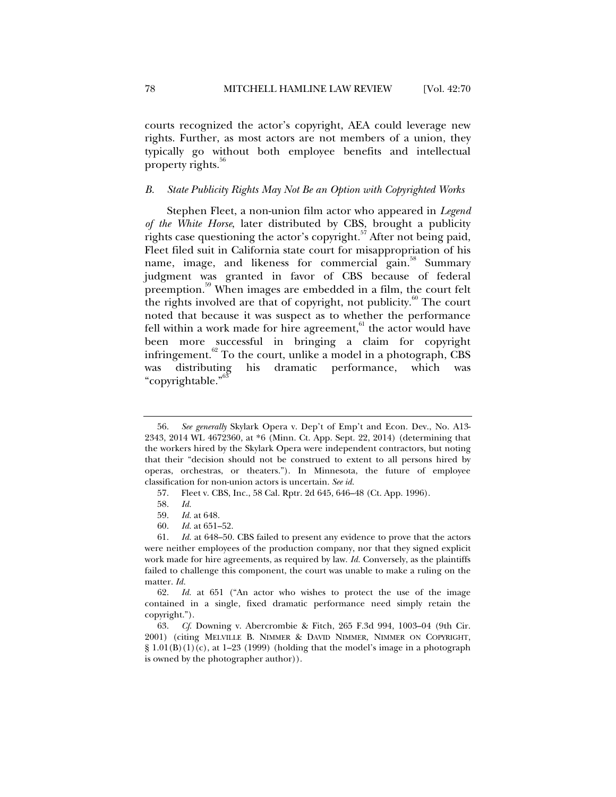courts recognized the actor's copyright, AEA could leverage new rights. Further, as most actors are not members of a union, they typically go without both employee benefits and intellectual property rights.<sup>56</sup>

# *B. State Publicity Rights May Not Be an Option with Copyrighted Works*

Stephen Fleet, a non-union film actor who appeared in *Legend of the White Horse*, later distributed by CBS, brought a publicity rights case questioning the actor's copyright*.* 57 After not being paid, Fleet filed suit in California state court for misappropriation of his name, image, and likeness for commercial gain.<sup>88</sup> Summary judgment was granted in favor of CBS because of federal preemption.59 When images are embedded in a film, the court felt the rights involved are that of copyright, not publicity. $60^{\circ}$  The court noted that because it was suspect as to whether the performance fell within a work made for hire agreement, $61$  the actor would have been more successful in bringing a claim for copyright infringement. $^{62}$  To the court, unlike a model in a photograph, CBS was distributing his dramatic performance, which was "copyrightable."<sup>63</sup>

 <sup>56.</sup> *See generally* Skylark Opera v. Dep't of Emp't and Econ. Dev., No. A13- 2343, 2014 WL 4672360, at \*6 (Minn. Ct. App. Sept. 22, 2014) (determining that the workers hired by the Skylark Opera were independent contractors, but noting that their "decision should not be construed to extent to all persons hired by operas, orchestras, or theaters."). In Minnesota, the future of employee classification for non-union actors is uncertain. *See id.*

 <sup>57.</sup> Fleet v. CBS, Inc., 58 Cal. Rptr. 2d 645, 646–48 (Ct. App. 1996).

 <sup>58.</sup> *Id.*

 <sup>59.</sup> *Id.* at 648.

 <sup>60.</sup> *Id.* at 651–52.

 <sup>61.</sup> *Id.* at 648–50. CBS failed to present any evidence to prove that the actors were neither employees of the production company, nor that they signed explicit work made for hire agreements, as required by law. *Id.* Conversely, as the plaintiffs failed to challenge this component, the court was unable to make a ruling on the matter. *Id.*

 <sup>62.</sup> *Id.* at 651 ("An actor who wishes to protect the use of the image contained in a single, fixed dramatic performance need simply retain the copyright.").

 <sup>63.</sup> *Cf*. Downing v. Abercrombie & Fitch, 265 F.3d 994, 1003–04 (9th Cir. 2001) (citing MELVILLE B. NIMMER & DAVID NIMMER, NIMMER ON COPYRIGHT,  $\S$  1.01(B)(1)(c), at 1–23 (1999) (holding that the model's image in a photograph is owned by the photographer author)).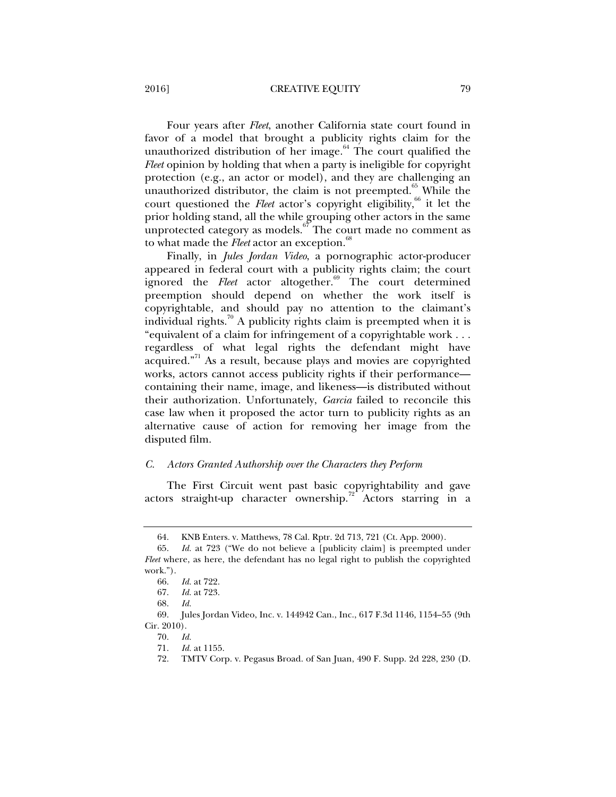2016] CREATIVE EQUITY 79

Four years after *Fleet*, another California state court found in favor of a model that brought a publicity rights claim for the unauthorized distribution of her image. $64$  The court qualified the *Fleet* opinion by holding that when a party is ineligible for copyright protection (e.g., an actor or model), and they are challenging an unauthorized distributor, the claim is not preempted. $65$  While the court questioned the *Fleet* actor's copyright eligibility,<sup>66</sup> it let the prior holding stand, all the while grouping other actors in the same unprotected category as models.<sup>67</sup> The court made no comment as to what made the *Fleet* actor an exception.<sup>68</sup>

Finally, in *Jules Jordan Video*, a pornographic actor-producer appeared in federal court with a publicity rights claim; the court ignored the *Fleet* actor altogether.<sup>69</sup> The court determined preemption should depend on whether the work itself is copyrightable, and should pay no attention to the claimant's individual rights.<sup>70</sup> A publicity rights claim is preempted when it is "equivalent of a claim for infringement of a copyrightable work . . . regardless of what legal rights the defendant might have acquired."<sup>71</sup> As a result, because plays and movies are copyrighted works, actors cannot access publicity rights if their performance containing their name, image, and likeness—is distributed without their authorization. Unfortunately, *Garcia* failed to reconcile this case law when it proposed the actor turn to publicity rights as an alternative cause of action for removing her image from the disputed film.

## *C. Actors Granted Authorship over the Characters they Perform*

The First Circuit went past basic copyrightability and gave actors straight-up character ownership.<sup>72</sup> Actors starring in a

 <sup>64.</sup> KNB Enters. v. Matthews, 78 Cal. Rptr. 2d 713, 721 (Ct. App. 2000).

 <sup>65.</sup> *Id.* at 723 ("We do not believe a [publicity claim] is preempted under *Fleet* where, as here, the defendant has no legal right to publish the copyrighted work.").

 <sup>66.</sup> *Id.* at 722.

 <sup>67.</sup> *Id.* at 723.

 <sup>68.</sup> *Id.* 

 <sup>69.</sup> Jules Jordan Video, Inc. v. 144942 Can., Inc., 617 F.3d 1146, 1154–55 (9th Cir. 2010).

 <sup>70.</sup> *Id. Id.* at 1155.

 <sup>72.</sup> TMTV Corp. v. Pegasus Broad. of San Juan, 490 F. Supp. 2d 228, 230 (D.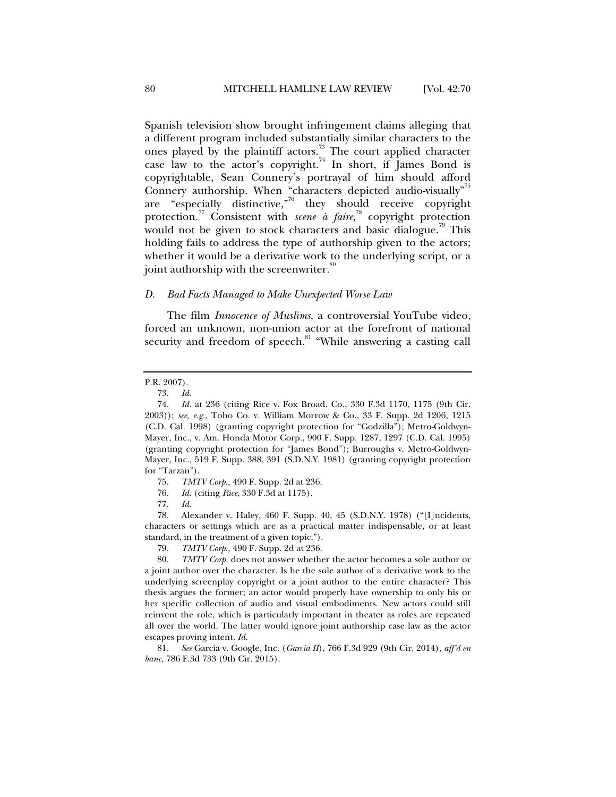Spanish television show brought infringement claims alleging that a different program included substantially similar characters to the ones played by the plaintiff actors.<sup>73</sup> The court applied character case law to the actor's copyright.<sup>74</sup> In short, if James Bond is copyrightable, Sean Connery's portrayal of him should afford Connery authorship. When "characters depicted audio-visually"<sup>75</sup> are "especially distinctive," $6 \text{ they should receive copyright}$ protection.<sup>77</sup> Consistent with *scene à faire*,<sup>78</sup> copyright protection would not be given to stock characters and basic dialogue.<sup> $3$ </sup> This holding fails to address the type of authorship given to the actors; whether it would be a derivative work to the underlying script, or a joint authorship with the screenwriter.<sup>80</sup>

#### *D. Bad Facts Managed to Make Unexpected Worse Law*

The film *Innocence of Muslims*, a controversial YouTube video, forced an unknown, non-union actor at the forefront of national security and freedom of speech.<sup>81</sup> "While answering a casting call

 78. Alexander v. Haley, 460 F. Supp. 40, 45 (S.D.N.Y. 1978) ("[I]ncidents, characters or settings which are as a practical matter indispensable, or at least standard, in the treatment of a given topic.").

79. *TMTV Corp.,* 490 F. Supp. 2d at 236.

 81. *See* Garcia v. Google, Inc. (*Garcia II*), 766 F.3d 929 (9th Cir. 2014), *aff'd en banc*, 786 F.3d 733 (9th Cir. 2015).

P.R. 2007).

 <sup>73.</sup> *Id.*

 <sup>74.</sup> *Id.* at 236 (citing Rice v. Fox Broad. Co., 330 F.3d 1170, 1175 (9th Cir. 2003)); *see, e.g.*, Toho Co. v. William Morrow & Co., 33 F. Supp. 2d 1206, 1215 (C.D. Cal. 1998) (granting copyright protection for "Godzilla"); Metro-Goldwyn-Mayer, Inc., v. Am. Honda Motor Corp., 900 F. Supp. 1287, 1297 (C.D. Cal. 1995) (granting copyright protection for "James Bond"); Burroughs v. Metro-Goldwyn-Mayer, Inc., 519 F. Supp. 388, 391 (S.D.N.Y. 1981) (granting copyright protection for "Tarzan").

 <sup>75.</sup> *TMTV Corp.*, 490 F. Supp. 2d at 236.

 <sup>76.</sup> *Id.* (citing *Rice*, 330 F.3d at 1175).

<sup>77</sup>*. Id.*

 <sup>80.</sup> *TMTV Corp.* does not answer whether the actor becomes a sole author or a joint author over the character. Is he the sole author of a derivative work to the underlying screenplay copyright or a joint author to the entire character? This thesis argues the former; an actor would properly have ownership to only his or her specific collection of audio and visual embodiments. New actors could still reinvent the role, which is particularly important in theater as roles are repeated all over the world. The latter would ignore joint authorship case law as the actor escapes proving intent. *Id.*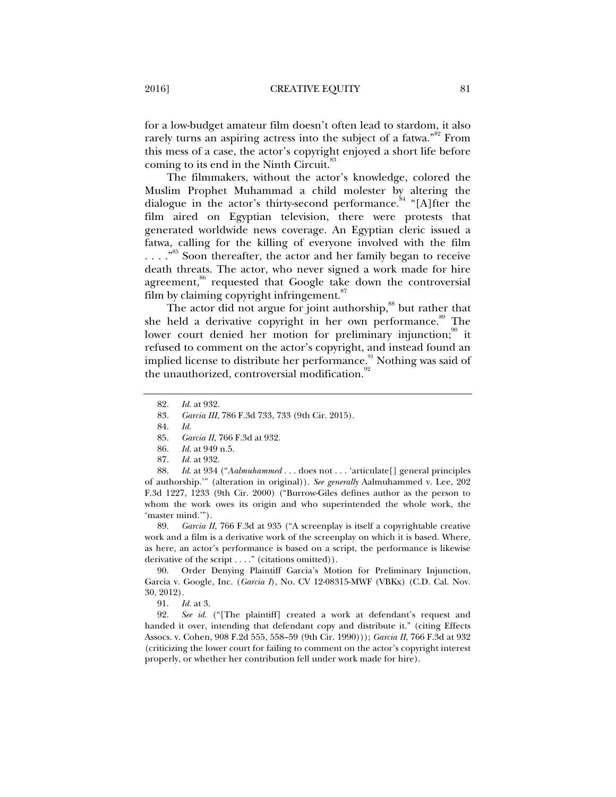for a low-budget amateur film doesn't often lead to stardom, it also rarely turns an aspiring actress into the subject of a fatwa."<sup>82</sup> From this mess of a case, the actor's copyright enjoyed a short life before coming to its end in the Ninth Circuit.<sup>8</sup>

The filmmakers, without the actor's knowledge, colored the Muslim Prophet Muhammad a child molester by altering the dialogue in the actor's thirty-second performance.<sup>84</sup> "[A]fter the film aired on Egyptian television, there were protests that generated worldwide news coverage. An Egyptian cleric issued a fatwa, calling for the killing of everyone involved with the film ....<sup>85</sup> Soon thereafter, the actor and her family began to receive death threats. The actor, who never signed a work made for hire agreement, $86$  requested that Google take down the controversial film by claiming copyright infringement.<sup>87</sup>

The actor did not argue for joint authorship,<sup>88</sup> but rather that she held a derivative copyright in her own performance.<sup>89</sup> The lower court denied her motion for preliminary injunction;<sup>90</sup> it refused to comment on the actor's copyright, and instead found an implied license to distribute her performance.<sup>91</sup> Nothing was said of the unauthorized, controversial modification.<sup>9</sup>

 88. *Id*. at 934 ("*Aalmuhammed* . . . does not . . . 'articulate[] general principles of authorship.'" (alteration in original)). *See generally* Aalmuhammed v. Lee, 202 F.3d 1227, 1233 (9th Cir. 2000) ("Burrow-Giles defines author as the person to whom the work owes its origin and who superintended the whole work, the 'master mind.'").

 89. *Garcia II*, 766 F.3d at 935 ("A screenplay is itself a copyrightable creative work and a film is a derivative work of the screenplay on which it is based. Where, as here, an actor's performance is based on a script, the performance is likewise derivative of the script . . . ." (citations omitted)).

 90. Order Denying Plaintiff Garcia's Motion for Preliminary Injunction, Garcia v. Google, Inc. (*Garcia I*), No. CV 12-08315-MWF (VBKx) (C.D. Cal. Nov. 30, 2012).

91. *Id.* at 3.

 92. *See id.* ("[The plaintiff] created a work at defendant's request and handed it over, intending that defendant copy and distribute it." (citing Effects Assocs. v. Cohen, 908 F.2d 555, 558–59 (9th Cir. 1990))); *Garcia II*, 766 F.3d at 932 (criticizing the lower court for failing to comment on the actor's copyright interest properly, or whether her contribution fell under work made for hire).

 <sup>82.</sup> *Id.* at 932.

 <sup>83.</sup> *Garcia III*, 786 F.3d 733, 733 (9th Cir. 2015).

 <sup>84.</sup> *Id.*

 <sup>85.</sup> *Garcia II*, 766 F.3d at 932.

 <sup>86.</sup> *Id.* at 949 n.5.

 <sup>87.</sup> *Id.* at 932.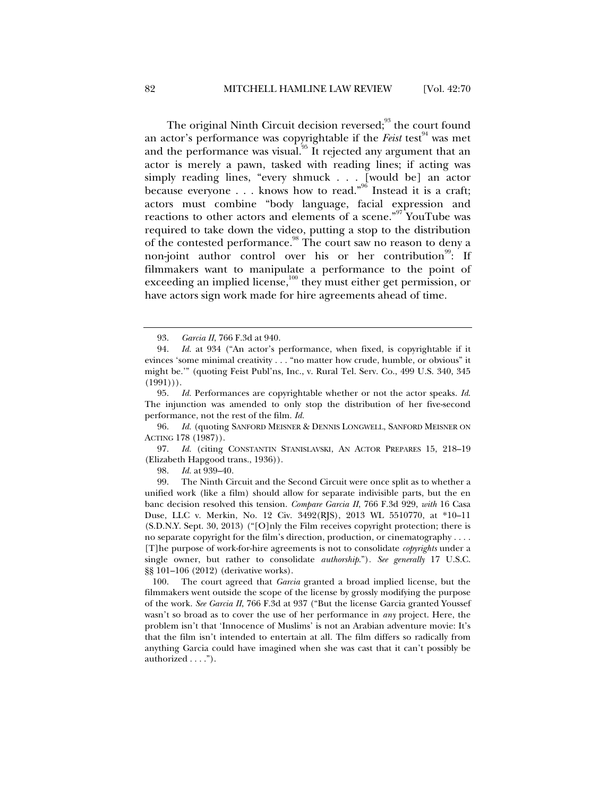The original Ninth Circuit decision reversed;<sup>93</sup> the court found an actor's performance was copyrightable if the *Feist* test<sup>94</sup> was met and the performance was visual. $^{95}$  It rejected any argument that an actor is merely a pawn, tasked with reading lines; if acting was simply reading lines, "every shmuck . . . [would be] an actor because everyone . . . knows how to read."<sup>96</sup> Instead it is a craft; actors must combine "body language, facial expression and reactions to other actors and elements of a scene."97 YouTube was required to take down the video, putting a stop to the distribution of the contested performance.<sup>98</sup> The court saw no reason to deny a non-joint author control over his or her contribution<sup>99</sup>: If filmmakers want to manipulate a performance to the point of exceeding an implied license,<sup>100</sup> they must either get permission, or have actors sign work made for hire agreements ahead of time.

 97. *Id.* (citing CONSTANTIN STANISLAVSKI, AN ACTOR PREPARES 15, 218–19 (Elizabeth Hapgood trans., 1936)).

98. *Id.* at 939–40.

 99. The Ninth Circuit and the Second Circuit were once split as to whether a unified work (like a film) should allow for separate indivisible parts, but the en banc decision resolved this tension. *Compare Garcia II*, 766 F.3d 929, *with* 16 Casa Duse, LLC v. Merkin, No. 12 Civ. 3492(RJS), 2013 WL 5510770, at \*10–11 (S.D.N.Y. Sept. 30, 2013) ("[O]nly the Film receives copyright protection; there is no separate copyright for the film's direction, production, or cinematography . . . . [T]he purpose of work-for-hire agreements is not to consolidate *copyrights* under a single owner, but rather to consolidate *authorship*.")*. See generally* 17 U.S.C. §§ 101–106 (2012) (derivative works).

 100. The court agreed that *Garcia* granted a broad implied license, but the filmmakers went outside the scope of the license by grossly modifying the purpose of the work. *See Garcia II*, 766 F.3d at 937 ("But the license Garcia granted Youssef wasn't so broad as to cover the use of her performance in *any* project. Here, the problem isn't that 'Innocence of Muslims' is not an Arabian adventure movie: It's that the film isn't intended to entertain at all. The film differs so radically from anything Garcia could have imagined when she was cast that it can't possibly be authorized . . . .").

 <sup>93.</sup> *Garcia II*, 766 F.3d at 940.

 <sup>94.</sup> *Id.* at 934 ("An actor's performance, when fixed, is copyrightable if it evinces 'some minimal creativity . . . "no matter how crude, humble, or obvious" it might be.'" (quoting Feist Publ'ns, Inc., v. Rural Tel. Serv. Co., 499 U.S. 340, 345  $(1991))$ .

 <sup>95.</sup> *Id.* Performances are copyrightable whether or not the actor speaks. *Id*. The injunction was amended to only stop the distribution of her five-second performance, not the rest of the film. *Id.*

 <sup>96.</sup> *Id.* (quoting SANFORD MEISNER & DENNIS LONGWELL, SANFORD MEISNER ON ACTING 178 (1987)).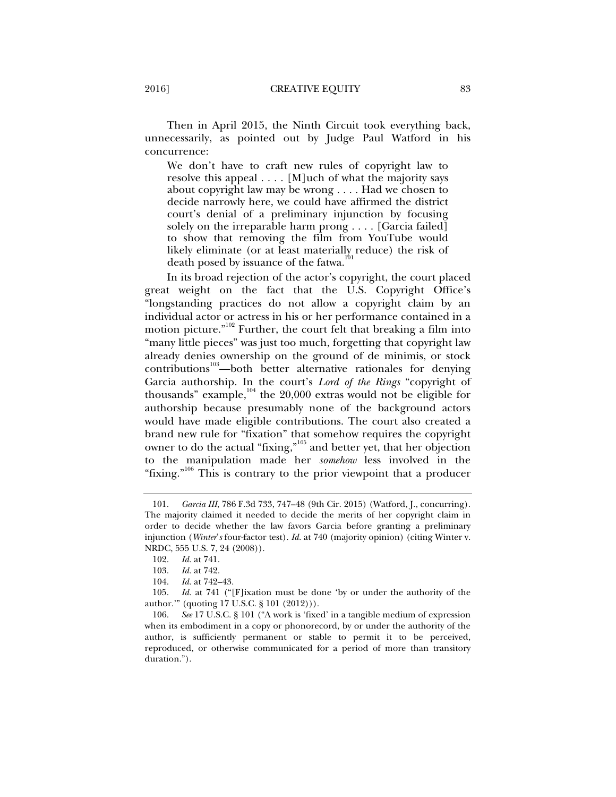Then in April 2015, the Ninth Circuit took everything back, unnecessarily, as pointed out by Judge Paul Watford in his concurrence:

We don't have to craft new rules of copyright law to resolve this appeal  $\dots$ . [M]uch of what the majority says about copyright law may be wrong . . . . Had we chosen to decide narrowly here, we could have affirmed the district court's denial of a preliminary injunction by focusing solely on the irreparable harm prong . . . . [Garcia failed] to show that removing the film from YouTube would likely eliminate (or at least materially reduce) the risk of death posed by issuance of the fatwa.<sup>1</sup>

In its broad rejection of the actor's copyright, the court placed great weight on the fact that the U.S. Copyright Office's "longstanding practices do not allow a copyright claim by an individual actor or actress in his or her performance contained in a motion picture."<sup>102</sup> Further, the court felt that breaking a film into "many little pieces" was just too much, forgetting that copyright law already denies ownership on the ground of de minimis, or stock contributions<sup>103</sup>—both better alternative rationales for denying Garcia authorship. In the court's *Lord of the Rings* "copyright of thousands" example, $104$  the 20,000 extras would not be eligible for authorship because presumably none of the background actors would have made eligible contributions. The court also created a brand new rule for "fixation" that somehow requires the copyright owner to do the actual "fixing,"105 and better yet, that her objection to the manipulation made her *somehow* less involved in the "fixing."<sup>106</sup> This is contrary to the prior viewpoint that a producer

 <sup>101.</sup> *Garcia III*, 786 F.3d 733, 747–48 (9th Cir. 2015) (Watford, J., concurring). The majority claimed it needed to decide the merits of her copyright claim in order to decide whether the law favors Garcia before granting a preliminary injunction (*Winter*'*s* four-factor test). *Id.* at 740 (majority opinion) (citing Winter v. NRDC, 555 U.S. 7, 24 (2008)).

 <sup>102.</sup> *Id.* at 741.

 <sup>103.</sup> *Id.* at 742.

 <sup>104.</sup> *Id.* at 742–43.

 <sup>105.</sup> *Id.* at 741 ("[F]ixation must be done 'by or under the authority of the author.'" (quoting 17 U.S.C. § 101 (2012))).

 <sup>106.</sup> *See* 17 U.S.C. § 101 ("A work is 'fixed' in a tangible medium of expression when its embodiment in a copy or phonorecord, by or under the authority of the author, is sufficiently permanent or stable to permit it to be perceived, reproduced, or otherwise communicated for a period of more than transitory duration.").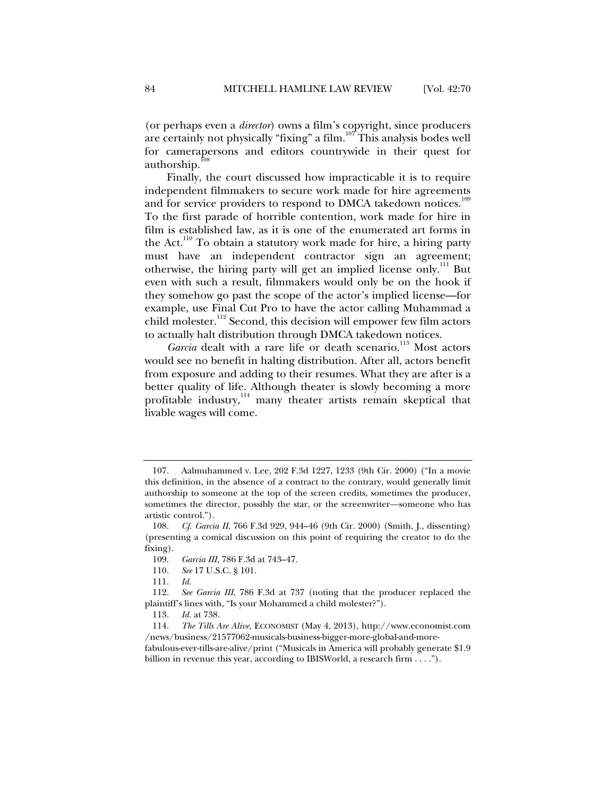(or perhaps even a *director*) owns a film's copyright, since producers are certainly not physically "fixing" a film.107 This analysis bodes well for camerapersons and editors countrywide in their quest for authorship.

Finally, the court discussed how impracticable it is to require independent filmmakers to secure work made for hire agreements and for service providers to respond to DMCA takedown notices.<sup>109</sup> To the first parade of horrible contention, work made for hire in film is established law, as it is one of the enumerated art forms in the Act.<sup>110</sup> To obtain a statutory work made for hire, a hiring party must have an independent contractor sign an agreement; otherwise, the hiring party will get an implied license only.111 But even with such a result, filmmakers would only be on the hook if they somehow go past the scope of the actor's implied license—for example, use Final Cut Pro to have the actor calling Muhammad a child molester.<sup>112</sup> Second, this decision will empower few film actors to actually halt distribution through DMCA takedown notices.

Garcia dealt with a rare life or death scenario.<sup>113</sup> Most actors would see no benefit in halting distribution. After all, actors benefit from exposure and adding to their resumes. What they are after is a better quality of life. Although theater is slowly becoming a more profitable industry,<sup>114</sup> many theater artists remain skeptical that livable wages will come.

 <sup>107.</sup> Aalmuhammed v. Lee, 202 F.3d 1227, 1233 (9th Cir. 2000) ("In a movie this definition, in the absence of a contract to the contrary, would generally limit authorship to someone at the top of the screen credits, sometimes the producer, sometimes the director, possibly the star, or the screenwriter—someone who has artistic control.").

 <sup>108.</sup> *Cf. Garcia II*, 766 F.3d 929, 944–46 (9th Cir. 2000) (Smith, J., dissenting) (presenting a comical discussion on this point of requiring the creator to do the fixing).

 <sup>109.</sup> *Garcia III*, 786 F.3d at 743–47.

 <sup>110.</sup> *See* 17 U.S.C. § 101.

 <sup>111.</sup> *Id.*

 <sup>112.</sup> *See Garcia III*, 786 F.3d at 737 (noting that the producer replaced the plaintiff's lines with, "Is your Mohammed a child molester?").

 <sup>113.</sup> *Id.* at 738.

 <sup>114.</sup> *The Tills Are Alive,* ECONOMIST (May 4, 2013), http://www.economist.com /news/business/21577062-musicals-business-bigger-more-global-and-morefabulous-ever-tills-are-alive/print ("Musicals in America will probably generate \$1.9 billion in revenue this year, according to IBISWorld, a research firm . . . .").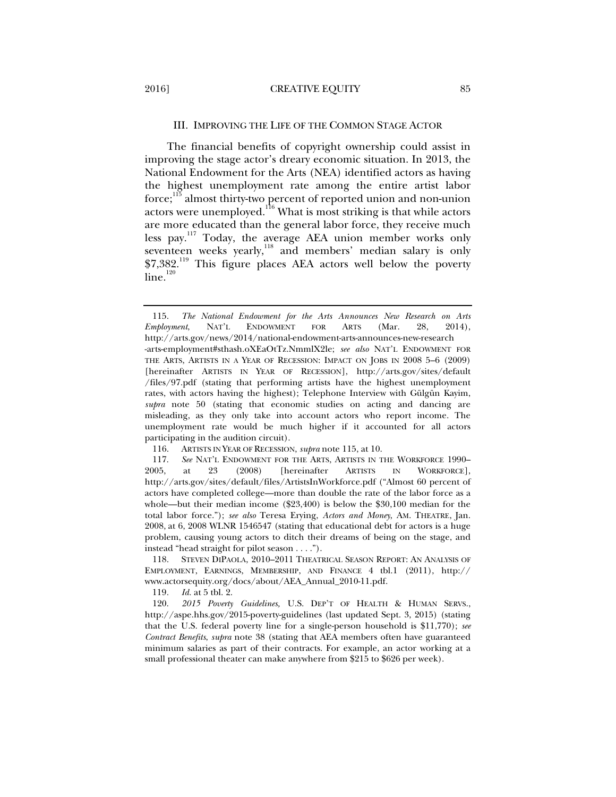#### III. IMPROVING THE LIFE OF THE COMMON STAGE ACTOR

The financial benefits of copyright ownership could assist in improving the stage actor's dreary economic situation. In 2013, the National Endowment for the Arts (NEA) identified actors as having the highest unemployment rate among the entire artist labor force;115 almost thirty-two percent of reported union and non-union actors were unemployed.116 What is most striking is that while actors are more educated than the general labor force, they receive much less pay.<sup>117</sup> Today, the average AEA union member works only seventeen weeks yearly, $^{118}$  and members' median salary is only \$7,382.<sup>119</sup> This figure places AEA actors well below the poverty  $line.$ <sup>120</sup>

 <sup>115.</sup> *The National Endowment for the Arts Announces New Research on Arts Employment*, NAT'L ENDOWMENT FOR ARTS (Mar. 28, 2014), http://arts.gov/news/2014/national-endowment-arts-announces-new-research

<sup>-</sup>arts-employment#sthash.oXEaOtTz.NmmlX2le; *see also* NAT'L ENDOWMENT FOR THE ARTS, ARTISTS IN A YEAR OF RECESSION: IMPACT ON JOBS IN 2008 5–6 (2009) [hereinafter ARTISTS IN YEAR OF RECESSION], http://arts.gov/sites/default /files/97.pdf (stating that performing artists have the highest unemployment rates, with actors having the highest); Telephone Interview with Gülgün Kayim, *supra* note 50 (stating that economic studies on acting and dancing are misleading, as they only take into account actors who report income. The unemployment rate would be much higher if it accounted for all actors participating in the audition circuit).

 <sup>116.</sup> ARTISTS IN YEAR OF RECESSION, *supra* note 115, at 10.

 <sup>117.</sup> *See* NAT'L ENDOWMENT FOR THE ARTS, ARTISTS IN THE WORKFORCE 1990– 2005, at 23 (2008) [hereinafter ARTISTS IN WORKFORCE], http://arts.gov/sites/default/files/ArtistsInWorkforce.pdf ("Almost 60 percent of actors have completed college—more than double the rate of the labor force as a whole—but their median income (\$23,400) is below the \$30,100 median for the total labor force."); *see also* Teresa Erying, *Actors and Money*, AM. THEATRE, Jan. 2008, at 6, 2008 WLNR 1546547 (stating that educational debt for actors is a huge problem, causing young actors to ditch their dreams of being on the stage, and instead "head straight for pilot season . . . .").

 <sup>118.</sup> STEVEN DIPAOLA, 2010–2011 THEATRICAL SEASON REPORT: AN ANALYSIS OF EMPLOYMENT, EARNINGS, MEMBERSHIP, AND FINANCE 4 tbl.1 (2011), http:// www.actorsequity.org/docs/about/AEA\_Annual\_2010-11.pdf.

<sup>119</sup>*. Id.* at 5 tbl. 2.

 <sup>120.</sup> *2015 Poverty Guidelines,* U.S. DEP'T OF HEALTH & HUMAN SERVS., http://aspe.hhs.gov/2015-poverty-guidelines (last updated Sept. 3, 2015) (stating that the U.S. federal poverty line for a single-person household is \$11,770); *see Contract Benefits*, *supra* note 38 (stating that AEA members often have guaranteed minimum salaries as part of their contracts. For example, an actor working at a small professional theater can make anywhere from \$215 to \$626 per week).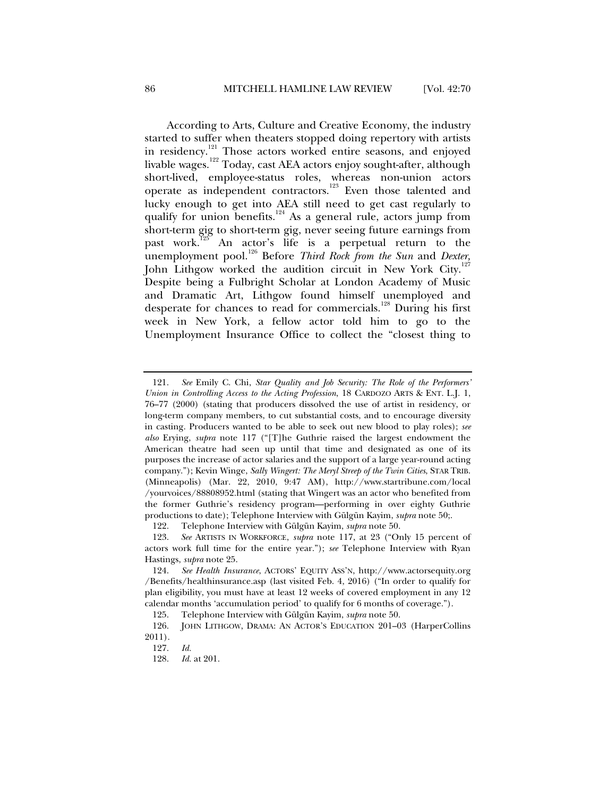According to Arts, Culture and Creative Economy, the industry started to suffer when theaters stopped doing repertory with artists in residency.<sup>121</sup> Those actors worked entire seasons, and enjoyed livable wages. $^{122}$  Today, cast AEA actors enjoy sought-after, although short-lived, employee-status roles, whereas non-union actors operate as independent contractors.123 Even those talented and lucky enough to get into AEA still need to get cast regularly to qualify for union benefits.<sup>124</sup> As a general rule, actors jump from short-term gig to short-term gig, never seeing future earnings from past work.125 An actor's life is a perpetual return to the unemployment pool.<sup>126</sup> Before *Third Rock from the Sun* and *Dexter*, John Lithgow worked the audition circuit in New York City.<sup>127</sup> Despite being a Fulbright Scholar at London Academy of Music and Dramatic Art, Lithgow found himself unemployed and desperate for chances to read for commercials.<sup>128</sup> During his first week in New York, a fellow actor told him to go to the Unemployment Insurance Office to collect the "closest thing to

 <sup>121.</sup> *See* Emily C. Chi, *Star Quality and Job Security: The Role of the Performers' Union in Controlling Access to the Acting Profession*, 18 CARDOZO ARTS & ENT. L.J. 1, 76–77 (2000) (stating that producers dissolved the use of artist in residency, or long-term company members, to cut substantial costs, and to encourage diversity in casting. Producers wanted to be able to seek out new blood to play roles); *see also* Erying, *supra* note 117 ("[T]he Guthrie raised the largest endowment the American theatre had seen up until that time and designated as one of its purposes the increase of actor salaries and the support of a large year-round acting company."); Kevin Winge, *Sally Wingert: The Meryl Streep of the Twin Cities*, STAR TRIB. (Minneapolis) (Mar. 22, 2010, 9:47 AM), http://www.startribune.com/local /yourvoices/88808952.html (stating that Wingert was an actor who benefited from the former Guthrie's residency program—performing in over eighty Guthrie productions to date); Telephone Interview with Gülgün Kayim, *supra* note 50;.

 <sup>122.</sup> Telephone Interview with Gülgün Kayim, *supra* note 50.

 <sup>123.</sup> *See* ARTISTS IN WORKFORCE, *supra* note 117, at 23 ("Only 15 percent of actors work full time for the entire year."); *see* Telephone Interview with Ryan Hastings, *supra* note 25.

 <sup>124.</sup> *See Health Insurance*, ACTORS' EQUITY ASS'N, http://www.actorsequity.org /Benefits/healthinsurance.asp (last visited Feb. 4, 2016) ("In order to qualify for plan eligibility, you must have at least 12 weeks of covered employment in any 12 calendar months 'accumulation period' to qualify for 6 months of coverage.").

 <sup>125.</sup> Telephone Interview with Gülgün Kayim, *supra* note 50.

 <sup>126.</sup> JOHN LITHGOW, DRAMA: AN ACTOR'S EDUCATION 201–03 (HarperCollins 2011).

 <sup>127.</sup> *Id.*

 <sup>128.</sup> *Id.* at 201.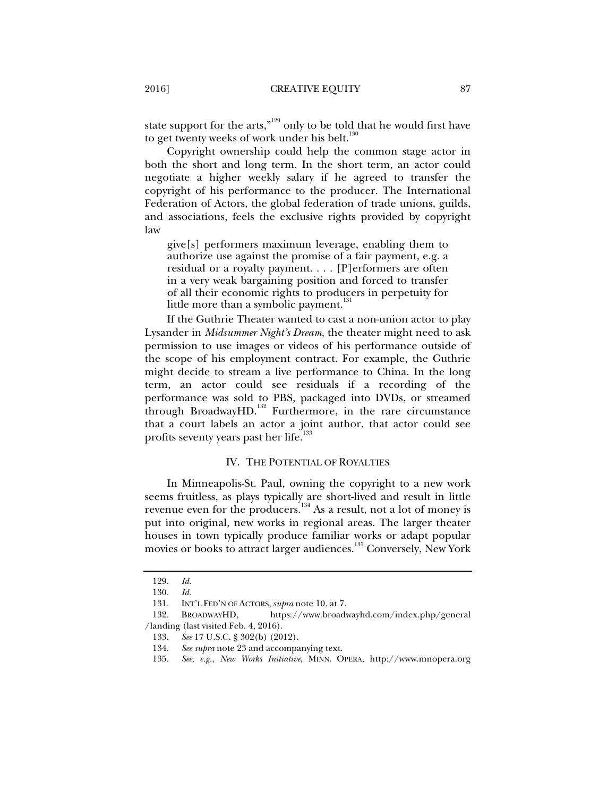state support for the arts," $129$  only to be told that he would first have to get twenty weeks of work under his belt.<sup>130</sup>

Copyright ownership could help the common stage actor in both the short and long term. In the short term, an actor could negotiate a higher weekly salary if he agreed to transfer the copyright of his performance to the producer. The International Federation of Actors, the global federation of trade unions, guilds, and associations, feels the exclusive rights provided by copyright law

give[s] performers maximum leverage, enabling them to authorize use against the promise of a fair payment, e.g. a residual or a royalty payment. . . . [P]erformers are often in a very weak bargaining position and forced to transfer of all their economic rights to producers in perpetuity for little more than a symbolic payment. $131$ 

If the Guthrie Theater wanted to cast a non-union actor to play Lysander in *Midsummer Night's Dream*, the theater might need to ask permission to use images or videos of his performance outside of the scope of his employment contract. For example, the Guthrie might decide to stream a live performance to China. In the long term, an actor could see residuals if a recording of the performance was sold to PBS, packaged into DVDs, or streamed through BroadwayHD.<sup>132</sup> Furthermore, in the rare circumstance that a court labels an actor a joint author, that actor could see profits seventy years past her life.<sup>133</sup>

# IV. THE POTENTIAL OF ROYALTIES

In Minneapolis-St. Paul, owning the copyright to a new work seems fruitless, as plays typically are short-lived and result in little revenue even for the producers.<sup>134</sup> As a result, not a lot of money is put into original, new works in regional areas. The larger theater houses in town typically produce familiar works or adapt popular movies or books to attract larger audiences.<sup>135</sup> Conversely, New York

 <sup>129.</sup> *Id.* 

 <sup>130.</sup> *Id.*

 <sup>131.</sup> INT'L FED'N OF ACTORS, *supra* note 10, at 7.

 <sup>132.</sup> BROADWAYHD, https://www.broadwayhd.com/index.php/general /landing (last visited Feb. 4, 2016).

 <sup>133.</sup> *See* 17 U.S.C. § 302(b) (2012).

 <sup>134.</sup> *See supra* note 23 and accompanying text.

 <sup>135.</sup> *See, e.g.*, *New Works Initiative*, MINN. OPERA, http://www.mnopera.org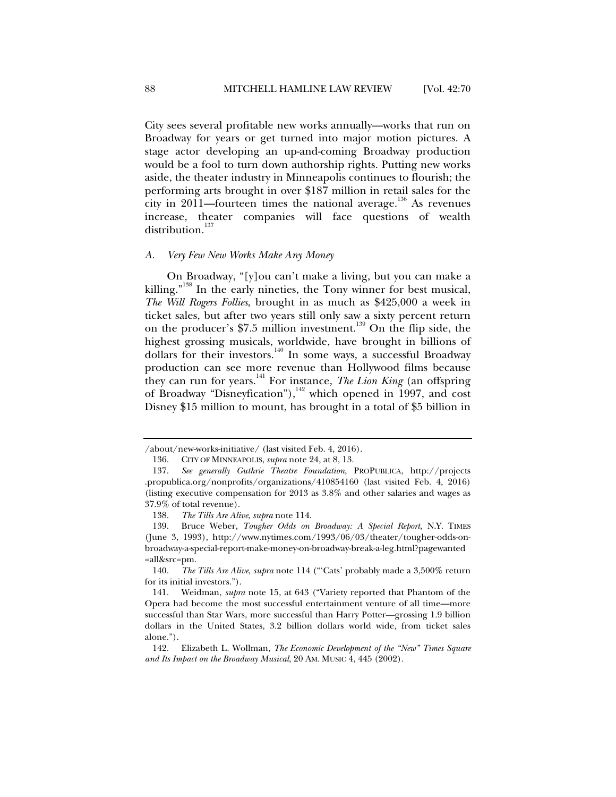City sees several profitable new works annually—works that run on Broadway for years or get turned into major motion pictures. A stage actor developing an up-and-coming Broadway production would be a fool to turn down authorship rights. Putting new works aside, the theater industry in Minneapolis continues to flourish; the performing arts brought in over \$187 million in retail sales for the city in  $2011$ —fourteen times the national average.<sup>136</sup> As revenues increase, theater companies will face questions of wealth distribution.<sup>137</sup>

# *A. Very Few New Works Make Any Money*

On Broadway, "[y]ou can't make a living, but you can make a killing."<sup>138</sup> In the early nineties, the Tony winner for best musical, *The Will Rogers Follies*, brought in as much as \$425,000 a week in ticket sales, but after two years still only saw a sixty percent return on the producer's \$7.5 million investment.<sup>139</sup> On the flip side, the highest grossing musicals, worldwide, have brought in billions of dollars for their investors.<sup>140</sup> In some ways, a successful Broadway production can see more revenue than Hollywood films because they can run for years.141 For instance, *The Lion King* (an offspring of Broadway "Disneyfication"), $142$  which opened in 1997, and cost Disney \$15 million to mount, has brought in a total of \$5 billion in

<sup>/</sup>about/new-works-initiative/ (last visited Feb. 4, 2016).

 <sup>136.</sup> CITY OF MINNEAPOLIS, *supra* note 24, at 8, 13.

 <sup>137.</sup> *See generally Guthrie Theatre Foundation*, PROPUBLICA, http://projects .propublica.org/nonprofits/organizations/410854160 (last visited Feb. 4, 2016) (listing executive compensation for 2013 as 3.8% and other salaries and wages as 37.9% of total revenue).

 <sup>138.</sup> *The Tills Are Alive*, *supra* note 114.

 <sup>139.</sup> Bruce Weber, *Tougher Odds on Broadway: A Special Report*, N.Y. TIMES (June 3, 1993), http://www.nytimes.com/1993/06/03/theater/tougher-odds-onbroadway-a-special-report-make-money-on-broadway-break-a-leg.html?pagewanted =all&src=pm.

 <sup>140.</sup> *The Tills Are Alive*, *supra* note 114 ("'Cats' probably made a 3,500% return for its initial investors.").

 <sup>141.</sup> Weidman, *supra* note 15, at 643 ("Variety reported that Phantom of the Opera had become the most successful entertainment venture of all time—more successful than Star Wars, more successful than Harry Potter—grossing 1.9 billion dollars in the United States, 3.2 billion dollars world wide, from ticket sales alone.").

 <sup>142.</sup> Elizabeth L. Wollman, *The Economic Development of the "New" Times Square and Its Impact on the Broadway Musical*, 20 AM. MUSIC 4, 445 (2002).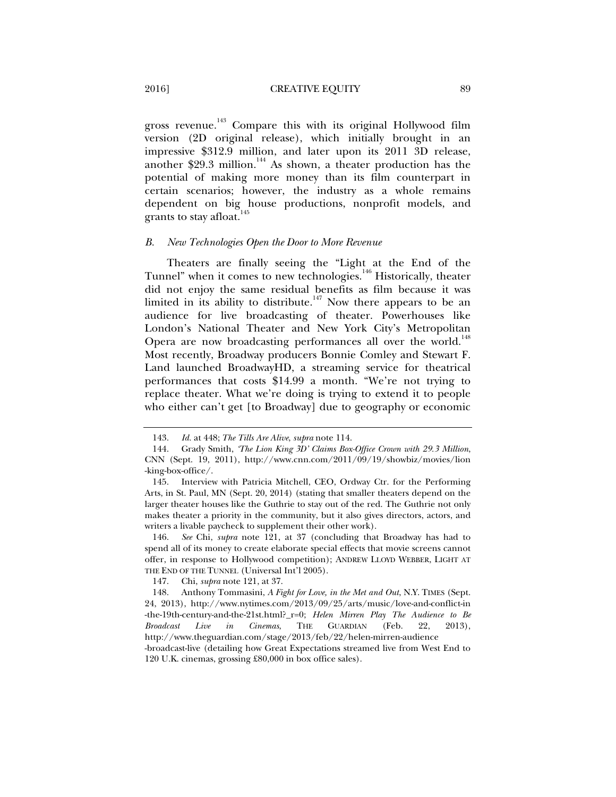gross revenue.<sup>143</sup> Compare this with its original Hollywood film version (2D original release), which initially brought in an impressive \$312.9 million, and later upon its 2011 3D release, another \$29.3 million.144 As shown, a theater production has the potential of making more money than its film counterpart in certain scenarios; however, the industry as a whole remains dependent on big house productions, nonprofit models, and grants to stay afloat.

#### *B. New Technologies Open the Door to More Revenue*

Theaters are finally seeing the "Light at the End of the Tunnel" when it comes to new technologies.<sup>146</sup> Historically, theater did not enjoy the same residual benefits as film because it was limited in its ability to distribute.<sup>147</sup> Now there appears to be an audience for live broadcasting of theater. Powerhouses like London's National Theater and New York City's Metropolitan Opera are now broadcasting performances all over the world.<sup>148</sup> Most recently, Broadway producers Bonnie Comley and Stewart F. Land launched BroadwayHD, a streaming service for theatrical performances that costs \$14.99 a month. "We're not trying to replace theater. What we're doing is trying to extend it to people who either can't get [to Broadway] due to geography or economic

147. Chi, *supra* note 121, at 37.

 <sup>143.</sup> *Id.* at 448; *The Tills Are Alive*, *supra* note 114.

 <sup>144.</sup> Grady Smith, *'The Lion King 3D' Claims Box-Office Crown with 29.3 Million*, CNN (Sept. 19, 2011), http://www.cnn.com/2011/09/19/showbiz/movies/lion -king-box-office/.

 <sup>145.</sup> Interview with Patricia Mitchell, CEO, Ordway Ctr. for the Performing Arts, in St. Paul, MN (Sept. 20, 2014) (stating that smaller theaters depend on the larger theater houses like the Guthrie to stay out of the red. The Guthrie not only makes theater a priority in the community, but it also gives directors, actors, and writers a livable paycheck to supplement their other work).

 <sup>146.</sup> *See* Chi, *supra* note 121, at 37 (concluding that Broadway has had to spend all of its money to create elaborate special effects that movie screens cannot offer, in response to Hollywood competition); ANDREW LLOYD WEBBER, LIGHT AT THE END OF THE TUNNEL (Universal Int'l 2005).

 <sup>148.</sup> Anthony Tommasini, *A Fight for Love, in the Met and Out*, N.Y. TIMES (Sept. 24, 2013), http://www.nytimes.com/2013/09/25/arts/music/love-and-conflict-in -the-19th-century-and-the-21st.html?\_r=0; *Helen Mirren Play The Audience to Be Broadcast Live in Cinemas*, THE GUARDIAN (Feb. 22, 2013), http://www.theguardian.com/stage/2013/feb/22/helen-mirren-audience

<sup>-</sup>broadcast-live (detailing how Great Expectations streamed live from West End to 120 U.K. cinemas, grossing £80,000 in box office sales).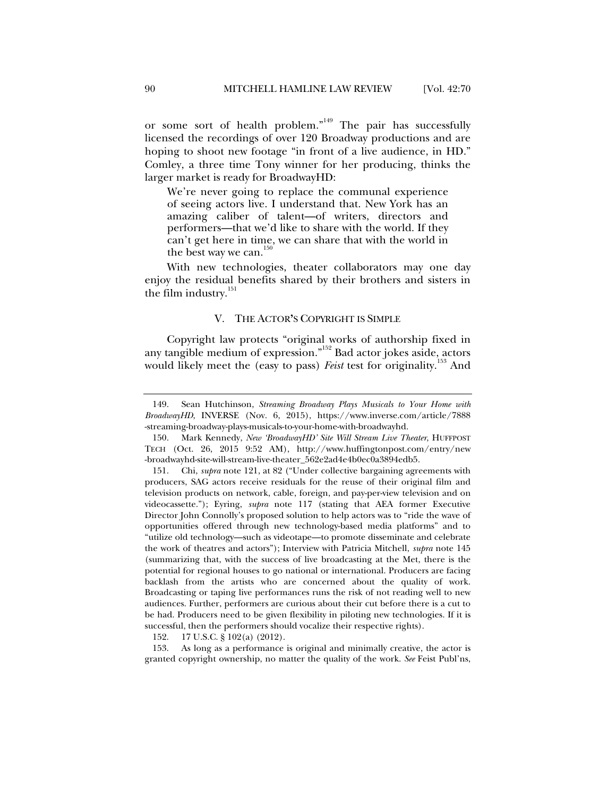or some sort of health problem."<sup>149</sup> The pair has successfully licensed the recordings of over 120 Broadway productions and are hoping to shoot new footage "in front of a live audience, in HD." Comley, a three time Tony winner for her producing, thinks the larger market is ready for BroadwayHD:

We're never going to replace the communal experience of seeing actors live. I understand that. New York has an amazing caliber of talent—of writers, directors and performers—that we'd like to share with the world. If they can't get here in time, we can share that with the world in the best way we can. $150$ 

With new technologies, theater collaborators may one day enjoy the residual benefits shared by their brothers and sisters in the film industry.<sup>151</sup>

#### V. THE ACTOR**'**S COPYRIGHT IS SIMPLE

Copyright law protects "original works of authorship fixed in any tangible medium of expression."152 Bad actor jokes aside, actors would likely meet the (easy to pass) *Feist* test for originality.<sup>153</sup> And

152. 17 U.S.C. § 102(a) (2012).

 153. As long as a performance is original and minimally creative, the actor is granted copyright ownership, no matter the quality of the work. *See* Feist Publ'ns,

 <sup>149.</sup> Sean Hutchinson, *Streaming Broadway Plays Musicals to Your Home with BroadwayHD*, INVERSE (Nov. 6, 2015), https://www.inverse.com/article/7888 -streaming-broadway-plays-musicals-to-your-home-with-broadwayhd.

 <sup>150.</sup> Mark Kennedy, *New 'BroadwayHD' Site Will Stream Live Theater*, HUFFPOST TECH (Oct. 26, 2015 9:52 AM), http://www.huffingtonpost.com/entry/new -broadwayhd-site-will-stream-live-theater\_562e2ad4e4b0ec0a3894edb5.

 <sup>151.</sup> Chi, *supra* note 121, at 82 ("Under collective bargaining agreements with producers, SAG actors receive residuals for the reuse of their original film and television products on network, cable, foreign, and pay-per-view television and on videocassette."); Eyring, *supra* note 117 (stating that AEA former Executive Director John Connolly's proposed solution to help actors was to "ride the wave of opportunities offered through new technology-based media platforms" and to "utilize old technology—such as videotape—to promote disseminate and celebrate the work of theatres and actors"); Interview with Patricia Mitchell, *supra* note 145 (summarizing that, with the success of live broadcasting at the Met, there is the potential for regional houses to go national or international. Producers are facing backlash from the artists who are concerned about the quality of work. Broadcasting or taping live performances runs the risk of not reading well to new audiences. Further, performers are curious about their cut before there is a cut to be had. Producers need to be given flexibility in piloting new technologies. If it is successful, then the performers should vocalize their respective rights).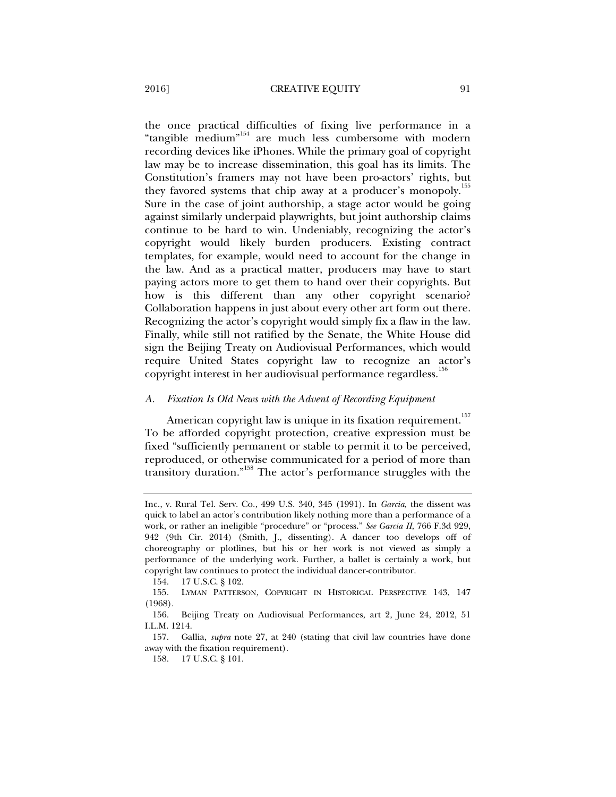the once practical difficulties of fixing live performance in a "tangible medium"154 are much less cumbersome with modern recording devices like iPhones. While the primary goal of copyright law may be to increase dissemination, this goal has its limits. The Constitution's framers may not have been pro-actors' rights, but they favored systems that chip away at a producer's monopoly.<sup>155</sup> Sure in the case of joint authorship, a stage actor would be going against similarly underpaid playwrights, but joint authorship claims continue to be hard to win. Undeniably, recognizing the actor's copyright would likely burden producers. Existing contract templates, for example, would need to account for the change in the law. And as a practical matter, producers may have to start paying actors more to get them to hand over their copyrights. But how is this different than any other copyright scenario? Collaboration happens in just about every other art form out there. Recognizing the actor's copyright would simply fix a flaw in the law. Finally, while still not ratified by the Senate, the White House did sign the Beijing Treaty on Audiovisual Performances, which would require United States copyright law to recognize an actor's copyright interest in her audiovisual performance regardless.<sup>156</sup>

#### *A. Fixation Is Old News with the Advent of Recording Equipment*

American copyright law is unique in its fixation requirement.<sup>157</sup> To be afforded copyright protection, creative expression must be fixed "sufficiently permanent or stable to permit it to be perceived, reproduced, or otherwise communicated for a period of more than transitory duration."158 The actor's performance struggles with the

154. 17 U.S.C. § 102.

Inc., v. Rural Tel. Serv. Co., 499 U.S. 340, 345 (1991). In *Garcia,* the dissent was quick to label an actor's contribution likely nothing more than a performance of a work, or rather an ineligible "procedure" or "process." *See Garcia II*, 766 F.3d 929, 942 (9th Cir. 2014) (Smith, J., dissenting). A dancer too develops off of choreography or plotlines, but his or her work is not viewed as simply a performance of the underlying work. Further, a ballet is certainly a work, but copyright law continues to protect the individual dancer-contributor.

 <sup>155.</sup> LYMAN PATTERSON, COPYRIGHT IN HISTORICAL PERSPECTIVE 143, 147 (1968).

 <sup>156.</sup> Beijing Treaty on Audiovisual Performances, art 2, June 24, 2012, 51 I.L.M. 1214.

 <sup>157.</sup> Gallia, *supra* note 27, at 240 (stating that civil law countries have done away with the fixation requirement).

 <sup>158. 17</sup> U.S.C. § 101.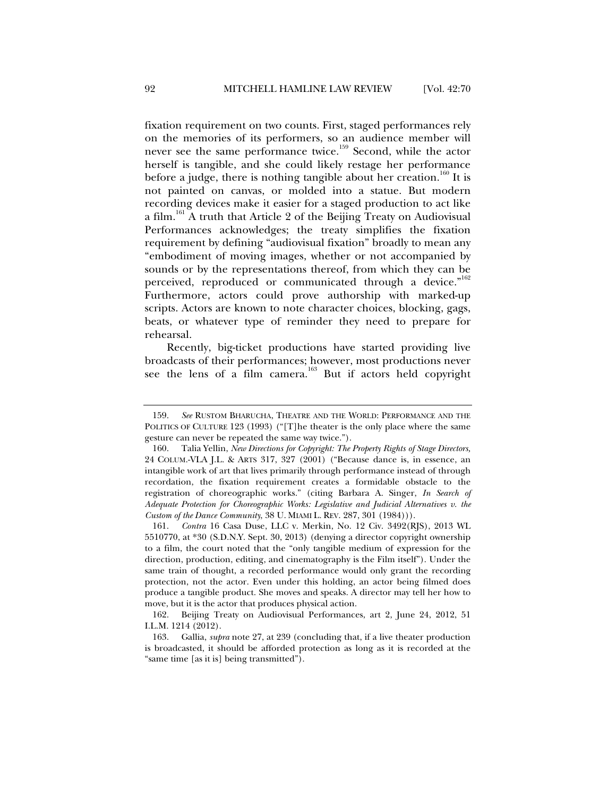fixation requirement on two counts. First, staged performances rely on the memories of its performers, so an audience member will never see the same performance twice.<sup>159</sup> Second, while the actor herself is tangible, and she could likely restage her performance before a judge, there is nothing tangible about her creation.<sup>160</sup> It is not painted on canvas, or molded into a statue. But modern recording devices make it easier for a staged production to act like a film.<sup>161</sup> A truth that Article 2 of the Beijing Treaty on Audiovisual Performances acknowledges; the treaty simplifies the fixation requirement by defining "audiovisual fixation" broadly to mean any "embodiment of moving images, whether or not accompanied by sounds or by the representations thereof, from which they can be perceived, reproduced or communicated through a device."<sup>162</sup> Furthermore, actors could prove authorship with marked-up scripts. Actors are known to note character choices, blocking, gags, beats, or whatever type of reminder they need to prepare for rehearsal.

Recently, big-ticket productions have started providing live broadcasts of their performances; however, most productions never see the lens of a film camera.<sup>163</sup> But if actors held copyright

 <sup>159.</sup> *See* RUSTOM BHARUCHA, THEATRE AND THE WORLD: PERFORMANCE AND THE POLITICS OF CULTURE 123 (1993) ("[T]he theater is the only place where the same gesture can never be repeated the same way twice.").

 <sup>160.</sup> Talia Yellin, *New Directions for Copyright: The Property Rights of Stage Directors,* 24 COLUM.-VLA J.L. & ARTS 317, 327 (2001) ("Because dance is, in essence, an intangible work of art that lives primarily through performance instead of through recordation, the fixation requirement creates a formidable obstacle to the registration of choreographic works." (citing Barbara A. Singer, *In Search of Adequate Protection for Choreographic Works: Legislative and Judicial Alternatives v. the Custom of the Dance Community*, 38 U. MIAMI L. REV. 287, 301 (1984))).

 <sup>161.</sup> *Contra* 16 Casa Duse, LLC v. Merkin, No. 12 Civ. 3492(RJS), 2013 WL 5510770, at \*30 (S.D.N.Y. Sept. 30, 2013) (denying a director copyright ownership to a film, the court noted that the "only tangible medium of expression for the direction, production, editing, and cinematography is the Film itself"). Under the same train of thought, a recorded performance would only grant the recording protection, not the actor. Even under this holding, an actor being filmed does produce a tangible product. She moves and speaks. A director may tell her how to move, but it is the actor that produces physical action.

 <sup>162.</sup> Beijing Treaty on Audiovisual Performances, art 2, June 24, 2012, 51 I.L.M. 1214 (2012).

 <sup>163.</sup> Gallia, *supra* note 27, at 239 (concluding that, if a live theater production is broadcasted, it should be afforded protection as long as it is recorded at the "same time [as it is] being transmitted").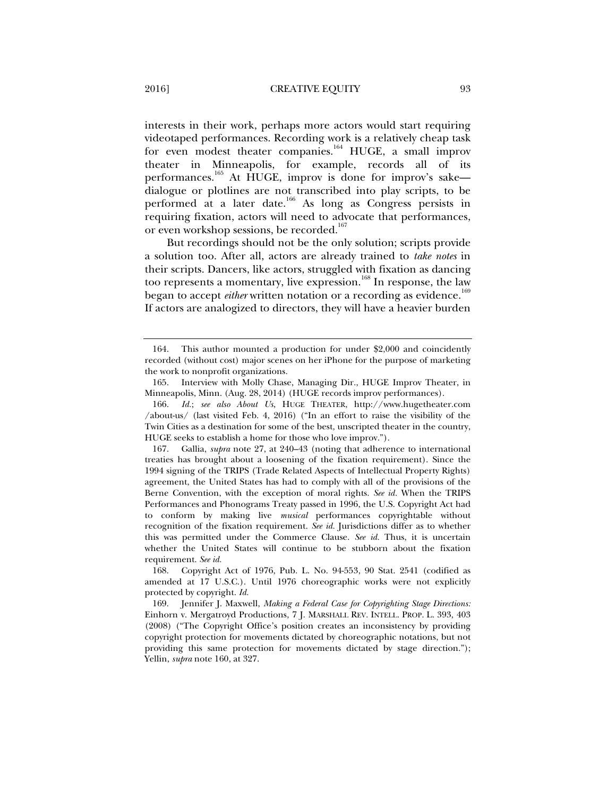interests in their work, perhaps more actors would start requiring videotaped performances. Recording work is a relatively cheap task for even modest theater companies.<sup>164</sup> HUGE, a small improv theater in Minneapolis, for example, records all of its performances.165 At HUGE, improv is done for improv's sake dialogue or plotlines are not transcribed into play scripts, to be performed at a later date.<sup>166</sup> As long as Congress persists in requiring fixation, actors will need to advocate that performances, or even workshop sessions, be recorded.<sup>167</sup>

But recordings should not be the only solution; scripts provide a solution too. After all, actors are already trained to *take notes* in their scripts. Dancers, like actors, struggled with fixation as dancing too represents a momentary, live expression.<sup>168</sup> In response, the law began to accept *either* written notation or a recording as evidence.<sup>169</sup> If actors are analogized to directors, they will have a heavier burden

 <sup>164.</sup> This author mounted a production for under \$2,000 and coincidently recorded (without cost) major scenes on her iPhone for the purpose of marketing the work to nonprofit organizations.

 <sup>165.</sup> Interview with Molly Chase, Managing Dir., HUGE Improv Theater, in Minneapolis, Minn. (Aug. 28, 2014) (HUGE records improv performances).

 <sup>166.</sup> *Id.*; *see also About Us*, HUGE THEATER, http://www.hugetheater.com /about-us/ (last visited Feb. 4, 2016) ("In an effort to raise the visibility of the Twin Cities as a destination for some of the best, unscripted theater in the country, HUGE seeks to establish a home for those who love improv.").

 <sup>167.</sup> Gallia, *supra* note 27, at 240–43 (noting that adherence to international treaties has brought about a loosening of the fixation requirement). Since the 1994 signing of the TRIPS (Trade Related Aspects of Intellectual Property Rights) agreement, the United States has had to comply with all of the provisions of the Berne Convention, with the exception of moral rights. *See id.* When the TRIPS Performances and Phonograms Treaty passed in 1996, the U.S. Copyright Act had to conform by making live *musical* performances copyrightable without recognition of the fixation requirement. *See id.* Jurisdictions differ as to whether this was permitted under the Commerce Clause. *See id.* Thus, it is uncertain whether the United States will continue to be stubborn about the fixation requirement. *See id.*

 <sup>168.</sup> Copyright Act of 1976, Pub. L. No. 94-553, 90 Stat. 2541 (codified as amended at 17 U.S.C.). Until 1976 choreographic works were not explicitly protected by copyright. *Id.*

 <sup>169.</sup> Jennifer J. Maxwell, *Making a Federal Case for Copyrighting Stage Directions:*  Einhorn v. Mergatroyd Productions, 7 J. MARSHALL REV. INTELL. PROP. L. 393, 403 (2008) ("The Copyright Office's position creates an inconsistency by providing copyright protection for movements dictated by choreographic notations, but not providing this same protection for movements dictated by stage direction."); Yellin, *supra* note 160, at 327.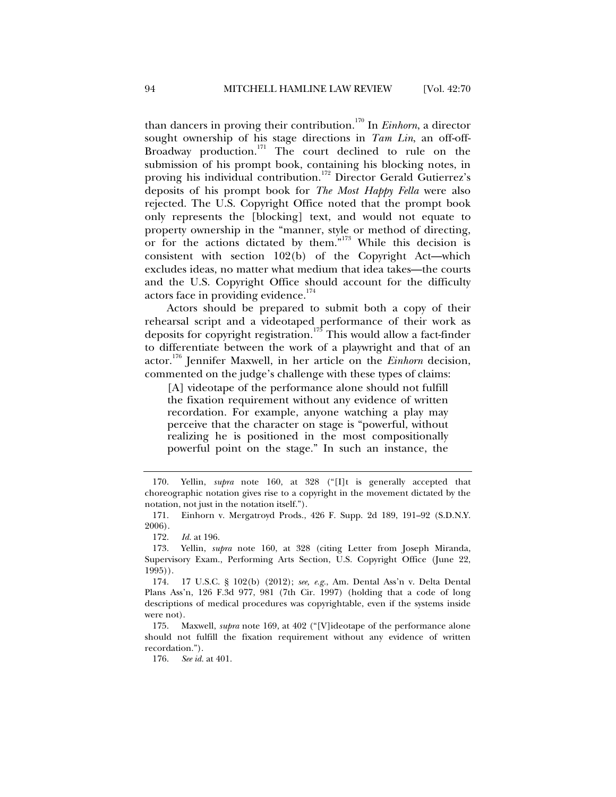than dancers in proving their contribution.<sup>170</sup> In *Einhorn*, a director sought ownership of his stage directions in *Tam Lin*, an off-off-Broadway production.<sup>171</sup> The court declined to rule on the submission of his prompt book, containing his blocking notes, in proving his individual contribution.<sup>172</sup> Director Gerald Gutierrez's deposits of his prompt book for *The Most Happy Fella* were also rejected. The U.S. Copyright Office noted that the prompt book only represents the [blocking] text, and would not equate to property ownership in the "manner, style or method of directing, or for the actions dictated by them."173 While this decision is consistent with section 102(b) of the Copyright Act—which excludes ideas, no matter what medium that idea takes—the courts and the U.S. Copyright Office should account for the difficulty actors face in providing evidence.<sup>174</sup>

Actors should be prepared to submit both a copy of their rehearsal script and a videotaped performance of their work as deposits for copyright registration.<sup>175</sup> This would allow a fact-finder to differentiate between the work of a playwright and that of an actor.176 Jennifer Maxwell, in her article on the *Einhorn* decision, commented on the judge's challenge with these types of claims:

[A] videotape of the performance alone should not fulfill the fixation requirement without any evidence of written recordation. For example, anyone watching a play may perceive that the character on stage is "powerful, without realizing he is positioned in the most compositionally powerful point on the stage." In such an instance, the

176. *See id.* at 401.

 <sup>170.</sup> Yellin, *supra* note 160, at 328 ("[I]t is generally accepted that choreographic notation gives rise to a copyright in the movement dictated by the notation, not just in the notation itself.").

 <sup>171.</sup> Einhorn v. Mergatroyd Prods., 426 F. Supp. 2d 189, 191–92 (S.D.N.Y. 2006).

 <sup>172.</sup> *Id.* at 196.

 <sup>173.</sup> Yellin, *supra* note 160, at 328 (citing Letter from Joseph Miranda, Supervisory Exam., Performing Arts Section, U.S. Copyright Office (June 22, 1995)).

 <sup>174. 17</sup> U.S.C. § 102(b) (2012); *see, e.g.*, Am. Dental Ass'n v. Delta Dental Plans Ass'n, 126 F.3d 977, 981 (7th Cir. 1997) (holding that a code of long descriptions of medical procedures was copyrightable, even if the systems inside were not).

 <sup>175.</sup> Maxwell, *supra* note 169, at 402 ("[V]ideotape of the performance alone should not fulfill the fixation requirement without any evidence of written recordation.").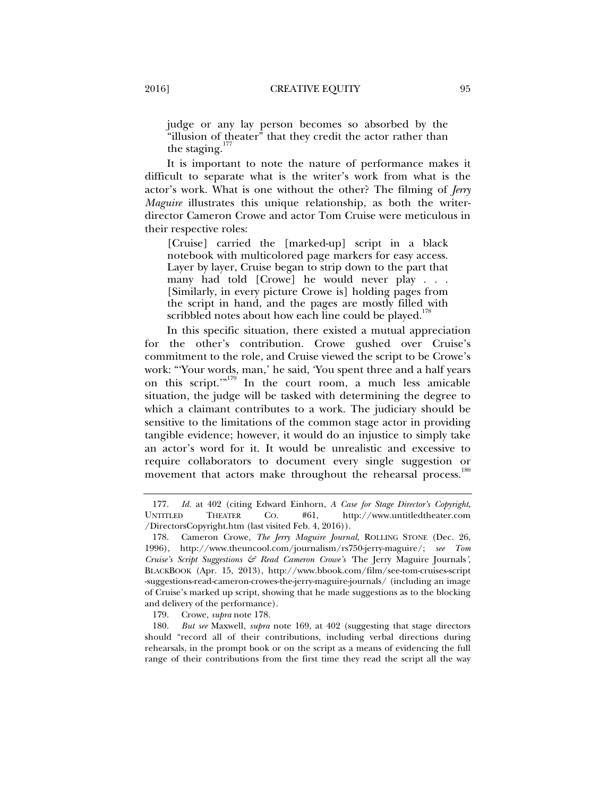judge or any lay person becomes so absorbed by the "illusion of theater" that they credit the actor rather than the staging. $17$ 

It is important to note the nature of performance makes it difficult to separate what is the writer's work from what is the actor's work. What is one without the other? The filming of *Jerry Maguire* illustrates this unique relationship, as both the writerdirector Cameron Crowe and actor Tom Cruise were meticulous in their respective roles:

[Cruise] carried the [marked-up] script in a black notebook with multicolored page markers for easy access. Layer by layer, Cruise began to strip down to the part that many had told [Crowe] he would never play . . . [Similarly, in every picture Crowe is] holding pages from the script in hand, and the pages are mostly filled with scribbled notes about how each line could be played.<sup>17</sup>

In this specific situation, there existed a mutual appreciation for the other's contribution. Crowe gushed over Cruise's commitment to the role, and Cruise viewed the script to be Crowe's work: "'Your words, man,' he said, 'You spent three and a half years on this script."<sup>179</sup> In the court room, a much less amicable situation, the judge will be tasked with determining the degree to which a claimant contributes to a work. The judiciary should be sensitive to the limitations of the common stage actor in providing tangible evidence; however, it would do an injustice to simply take an actor's word for it. It would be unrealistic and excessive to require collaborators to document every single suggestion or movement that actors make throughout the rehearsal process.<sup>1</sup>

 <sup>177.</sup> *Id.* at 402 (citing Edward Einhorn, *A Case for Stage Director's Copyright*, UNTITLED THEATER CO. #61, http://www.untitledtheater.com /DirectorsCopyright.htm (last visited Feb. 4, 2016)).

 <sup>178.</sup> Cameron Crowe, *The Jerry Maguire Journal*, ROLLING STONE (Dec. 26, 1996), http://www.theuncool.com/journalism/rs750-jerry-maguire/; *see Tom Cruise's Script Suggestions & Read Cameron Crowe's '*The Jerry Maguire Journals*'*, BLACKBOOK (Apr. 15, 2013), http://www.bbook.com/film/see-tom-cruises-script -suggestions-read-cameron-crowes-the-jerry-maguire-journals/ (including an image of Cruise's marked up script, showing that he made suggestions as to the blocking and delivery of the performance).

 <sup>179.</sup> Crowe, *supra* note 178.

 <sup>180.</sup> *But see* Maxwell, *supra* note 169, at 402 (suggesting that stage directors should "record all of their contributions, including verbal directions during rehearsals, in the prompt book or on the script as a means of evidencing the full range of their contributions from the first time they read the script all the way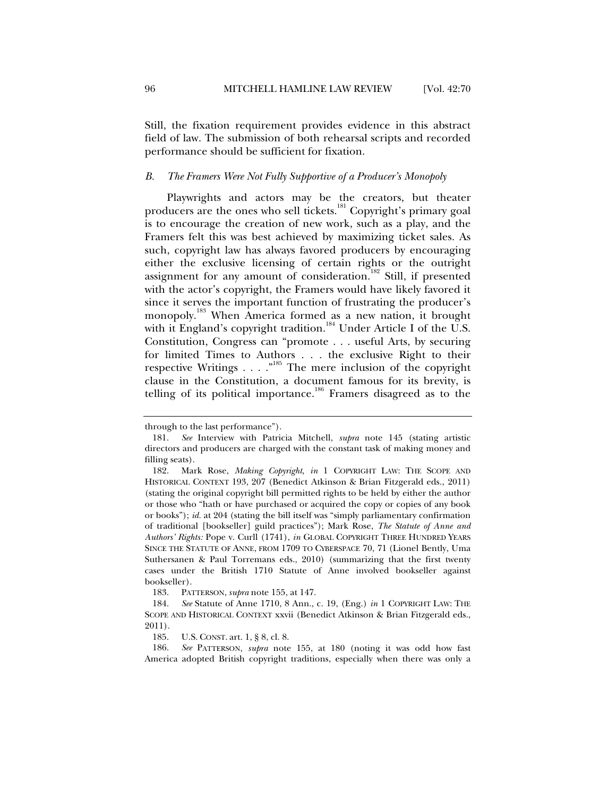Still, the fixation requirement provides evidence in this abstract field of law. The submission of both rehearsal scripts and recorded performance should be sufficient for fixation.

# *B. The Framers Were Not Fully Supportive of a Producer's Monopoly*

Playwrights and actors may be the creators, but theater producers are the ones who sell tickets.<sup>181</sup> Copyright's primary goal is to encourage the creation of new work, such as a play, and the Framers felt this was best achieved by maximizing ticket sales. As such, copyright law has always favored producers by encouraging either the exclusive licensing of certain rights or the outright assignment for any amount of consideration.<sup>182</sup> Still, if presented with the actor's copyright, the Framers would have likely favored it since it serves the important function of frustrating the producer's monopoly.<sup>183</sup> When America formed as a new nation, it brought with it England's copyright tradition.<sup>184</sup> Under Article I of the U.S. Constitution, Congress can "promote . . . useful Arts, by securing for limited Times to Authors . . . the exclusive Right to their respective Writings . . . .  $\cdot$ <sup>185</sup> The mere inclusion of the copyright clause in the Constitution, a document famous for its brevity, is telling of its political importance.<sup>186</sup> Framers disagreed as to the

183. PATTERSON, *supra* note 155, at 147.

185. U.S. CONST. art. 1, § 8, cl. 8.

 186. *See* PATTERSON, *supra* note 155, at 180 (noting it was odd how fast America adopted British copyright traditions, especially when there was only a

through to the last performance").

 <sup>181.</sup> *See* Interview with Patricia Mitchell, *supra* note 145 (stating artistic directors and producers are charged with the constant task of making money and filling seats).

 <sup>182.</sup> Mark Rose, *Making Copyright*, *in* 1 COPYRIGHT LAW: THE SCOPE AND HISTORICAL CONTEXT 193, 207 (Benedict Atkinson & Brian Fitzgerald eds., 2011) (stating the original copyright bill permitted rights to be held by either the author or those who "hath or have purchased or acquired the copy or copies of any book or books"); *id.* at 204 (stating the bill itself was "simply parliamentary confirmation of traditional [bookseller] guild practices"); Mark Rose, *The Statute of Anne and Authors' Rights:* Pope v. Curll (1741), *in* GLOBAL COPYRIGHT THREE HUNDRED YEARS SINCE THE STATUTE OF ANNE, FROM 1709 TO CYBERSPACE 70, 71 (Lionel Bently, Uma Suthersanen & Paul Torremans eds., 2010) (summarizing that the first twenty cases under the British 1710 Statute of Anne involved bookseller against bookseller).

 <sup>184.</sup> *See* Statute of Anne 1710, 8 Ann., c. 19, (Eng.) *in* 1 COPYRIGHT LAW: THE SCOPE AND HISTORICAL CONTEXT xxvii (Benedict Atkinson & Brian Fitzgerald eds., 2011).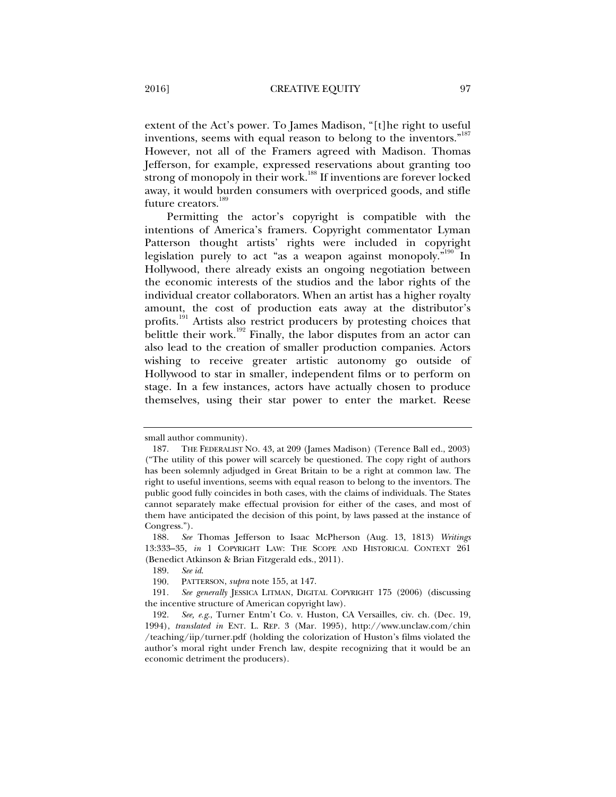extent of the Act's power. To James Madison, "[t]he right to useful inventions, seems with equal reason to belong to the inventors."<sup>187</sup> However, not all of the Framers agreed with Madison. Thomas Jefferson, for example, expressed reservations about granting too strong of monopoly in their work.<sup>188</sup> If inventions are forever locked away, it would burden consumers with overpriced goods, and stifle future creators.<sup>189</sup>

Permitting the actor's copyright is compatible with the intentions of America's framers. Copyright commentator Lyman Patterson thought artists' rights were included in copyright legislation purely to act "as a weapon against monopoly."<sup>190</sup> In Hollywood, there already exists an ongoing negotiation between the economic interests of the studios and the labor rights of the individual creator collaborators. When an artist has a higher royalty amount, the cost of production eats away at the distributor's profits.<sup>191</sup> Artists also restrict producers by protesting choices that belittle their work.<sup>192</sup> Finally, the labor disputes from an actor can also lead to the creation of smaller production companies. Actors wishing to receive greater artistic autonomy go outside of Hollywood to star in smaller, independent films or to perform on stage. In a few instances, actors have actually chosen to produce themselves, using their star power to enter the market. Reese

small author community).

 <sup>187.</sup> THE FEDERALIST NO. 43, at 209 (James Madison) (Terence Ball ed., 2003) ("The utility of this power will scarcely be questioned. The copy right of authors has been solemnly adjudged in Great Britain to be a right at common law. The right to useful inventions, seems with equal reason to belong to the inventors. The public good fully coincides in both cases, with the claims of individuals. The States cannot separately make effectual provision for either of the cases, and most of them have anticipated the decision of this point, by laws passed at the instance of Congress.").

 <sup>188.</sup> *See* Thomas Jefferson to Isaac McPherson (Aug. 13, 1813) *Writings* 13:333–35, *in* 1 COPYRIGHT LAW: THE SCOPE AND HISTORICAL CONTEXT 261 (Benedict Atkinson & Brian Fitzgerald eds., 2011).

 <sup>189.</sup> *See id*.

 <sup>190.</sup> PATTERSON, *supra* note 155, at 147.

<sup>191</sup>*. See generally* JESSICA LITMAN, DIGITAL COPYRIGHT 175 (2006) (discussing the incentive structure of American copyright law).

 <sup>192.</sup> *See, e.g*., Turner Entm't Co. v. Huston, CA Versailles, civ. ch. (Dec. 19, 1994), *translated in* ENT. L. REP. 3 (Mar. 1995), http://www.unclaw.com/chin /teaching/iip/turner.pdf (holding the colorization of Huston's films violated the author's moral right under French law, despite recognizing that it would be an economic detriment the producers).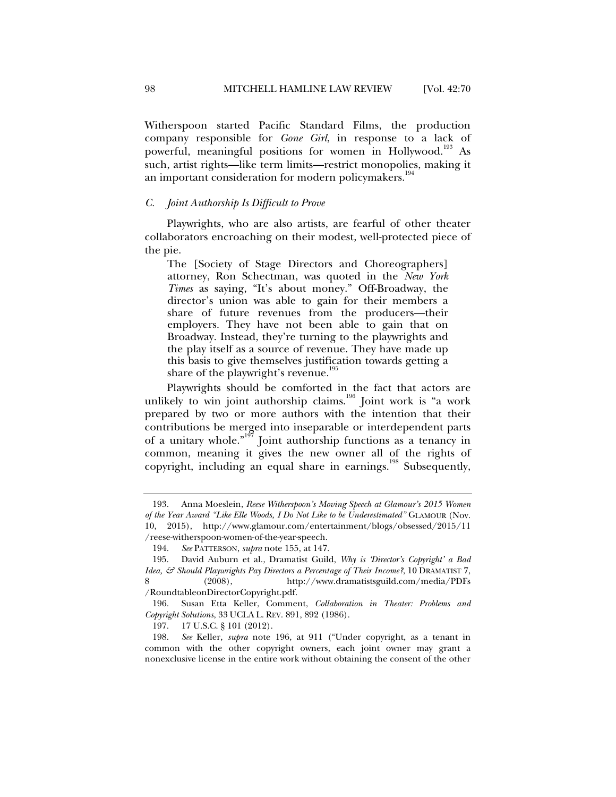Witherspoon started Pacific Standard Films, the production company responsible for *Gone Girl*, in response to a lack of powerful, meaningful positions for women in Hollywood.<sup>193</sup> As such, artist rights—like term limits—restrict monopolies, making it an important consideration for modern policymakers.<sup>194</sup>

#### *C. Joint Authorship Is Difficult to Prove*

Playwrights, who are also artists, are fearful of other theater collaborators encroaching on their modest, well-protected piece of the pie.

The [Society of Stage Directors and Choreographers] attorney, Ron Schectman, was quoted in the *New York Times* as saying, "It's about money." Off-Broadway, the director's union was able to gain for their members a share of future revenues from the producers—their employers. They have not been able to gain that on Broadway. Instead, they're turning to the playwrights and the play itself as a source of revenue. They have made up this basis to give themselves justification towards getting a share of the playwright's revenue.<sup>195</sup>

Playwrights should be comforted in the fact that actors are unlikely to win joint authorship claims.<sup>196</sup> Joint work is "a work prepared by two or more authors with the intention that their contributions be merged into inseparable or interdependent parts of a unitary whole."<sup>197</sup> Joint authorship functions as a tenancy in common, meaning it gives the new owner all of the rights of copyright, including an equal share in earnings.<sup>198</sup> Subsequently,

 <sup>193.</sup> Anna Moeslein, *Reese Witherspoon's Moving Speech at Glamour's 2015 Women of the Year Award "Like Elle Woods, I Do Not Like to be Underestimated"* GLAMOUR (Nov. 10, 2015), http://www.glamour.com/entertainment/blogs/obsessed/2015/11 /reese-witherspoon-women-of-the-year-speech.

 <sup>194.</sup> *See* PATTERSON, *supra* note 155, at 147.

 <sup>195.</sup> David Auburn et al., Dramatist Guild, *Why is 'Director's Copyright' a Bad Idea, & Should Playwrights Pay Directors a Percentage of Their Income?*, 10 DRAMATIST 7, 8 (2008), http://www.dramatistsguild.com/media/PDFs /RoundtableonDirectorCopyright.pdf.

 <sup>196.</sup> Susan Etta Keller, Comment, *Collaboration in Theater: Problems and Copyright Solutions*, 33 UCLA L. REV. 891, 892 (1986).

 <sup>197. 17</sup> U.S.C. § 101 (2012).

 <sup>198.</sup> *See* Keller, *supra* note 196, at 911 ("Under copyright, as a tenant in common with the other copyright owners, each joint owner may grant a nonexclusive license in the entire work without obtaining the consent of the other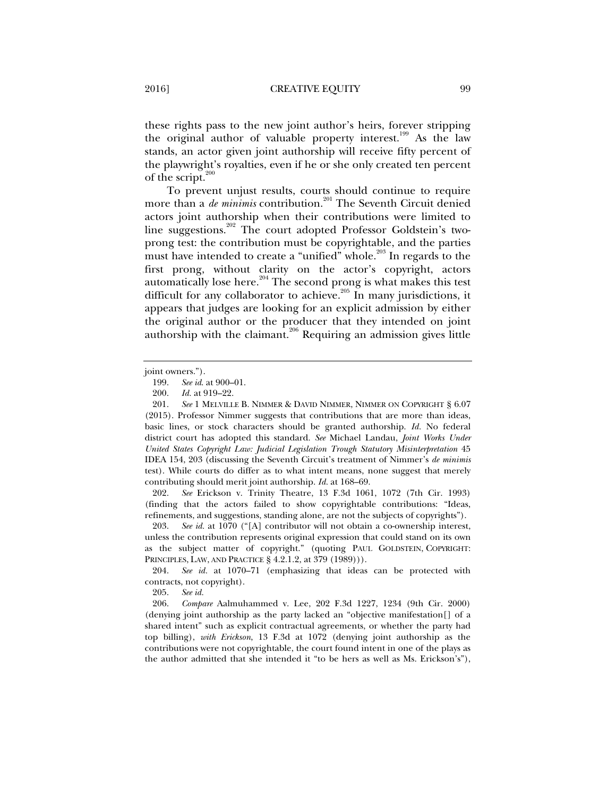these rights pass to the new joint author's heirs, forever stripping the original author of valuable property interest.<sup>199</sup> As the law stands, an actor given joint authorship will receive fifty percent of the playwright's royalties, even if he or she only created ten percent of the script. $^2$ 

To prevent unjust results, courts should continue to require more than a *de minimis* contribution.<sup>201</sup> The Seventh Circuit denied actors joint authorship when their contributions were limited to line suggestions.202 The court adopted Professor Goldstein's twoprong test: the contribution must be copyrightable, and the parties must have intended to create a "unified" whole.<sup>203</sup> In regards to the first prong, without clarity on the actor's copyright, actors automatically lose here.<sup>204</sup> The second prong is what makes this test difficult for any collaborator to achieve.<sup>205</sup> In many jurisdictions, it appears that judges are looking for an explicit admission by either the original author or the producer that they intended on joint authorship with the claimant.<sup>206</sup> Requiring an admission gives little

 202. *See* Erickson v. Trinity Theatre, 13 F.3d 1061, 1072 (7th Cir. 1993) (finding that the actors failed to show copyrightable contributions: "Ideas, refinements, and suggestions, standing alone, are not the subjects of copyrights").

205. *See id.* 

 206. *Compare* Aalmuhammed v. Lee, 202 F.3d 1227, 1234 (9th Cir. 2000) (denying joint authorship as the party lacked an "objective manifestation[] of a shared intent" such as explicit contractual agreements, or whether the party had top billing), *with Erickson*, 13 F.3d at 1072 (denying joint authorship as the contributions were not copyrightable, the court found intent in one of the plays as the author admitted that she intended it "to be hers as well as Ms. Erickson's"),

joint owners.").

 <sup>199.</sup> *See id*. at 900–01.

 <sup>200.</sup> *Id.* at 919–22.

 <sup>201.</sup> *See* 1 MELVILLE B. NIMMER & DAVID NIMMER, NIMMER ON COPYRIGHT § 6.07 (2015). Professor Nimmer suggests that contributions that are more than ideas, basic lines, or stock characters should be granted authorship. *Id.* No federal district court has adopted this standard. *See* Michael Landau, *Joint Works Under United States Copyright Law: Judicial Legislation Trough Statutory Misinterpretation* 45 IDEA 154, 203 (discussing the Seventh Circuit's treatment of Nimmer's *de minimis* test). While courts do differ as to what intent means, none suggest that merely contributing should merit joint authorship. *Id.* at 168–69.

 <sup>203.</sup> *See id.* at 1070 ("[A] contributor will not obtain a co-ownership interest, unless the contribution represents original expression that could stand on its own as the subject matter of copyright." (quoting PAUL GOLDSTEIN, COPYRIGHT: PRINCIPLES, LAW, AND PRACTICE § 4.2.1.2, at 379 (1989))).

 <sup>204.</sup> *See id.* at 1070–71 (emphasizing that ideas can be protected with contracts, not copyright).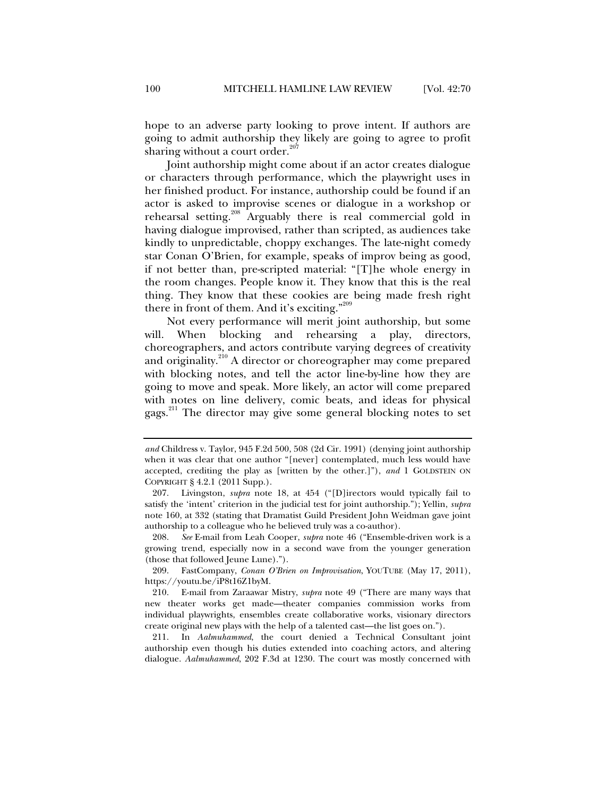hope to an adverse party looking to prove intent. If authors are going to admit authorship they likely are going to agree to profit sharing without a court order. $207$ 

Joint authorship might come about if an actor creates dialogue or characters through performance, which the playwright uses in her finished product. For instance, authorship could be found if an actor is asked to improvise scenes or dialogue in a workshop or rehearsal setting.<sup>208</sup> Arguably there is real commercial gold in having dialogue improvised, rather than scripted, as audiences take kindly to unpredictable, choppy exchanges. The late-night comedy star Conan O'Brien, for example, speaks of improv being as good, if not better than, pre-scripted material: "[T]he whole energy in the room changes. People know it. They know that this is the real thing. They know that these cookies are being made fresh right there in front of them. And it's exciting."<sup>209</sup>

Not every performance will merit joint authorship, but some will. When blocking and rehearsing a play, directors, choreographers, and actors contribute varying degrees of creativity and originality.<sup>210</sup> A director or choreographer may come prepared with blocking notes, and tell the actor line-by-line how they are going to move and speak. More likely, an actor will come prepared with notes on line delivery, comic beats, and ideas for physical gags.<sup>211</sup> The director may give some general blocking notes to set

 208. *See* E-mail from Leah Cooper, *supra* note 46 ("Ensemble-driven work is a growing trend, especially now in a second wave from the younger generation (those that followed Jeune Lune).").

 209. FastCompany, *Conan O'Brien on Improvisation*, YOUTUBE (May 17, 2011), https://youtu.be/iP8t16Z1byM.

 210. E-mail from Zaraawar Mistry, *supra* note 49 ("There are many ways that new theater works get made—theater companies commission works from individual playwrights, ensembles create collaborative works, visionary directors create original new plays with the help of a talented cast—the list goes on.").

 211. In *Aalmuhammed*, the court denied a Technical Consultant joint authorship even though his duties extended into coaching actors, and altering dialogue. *Aalmuhammed*, 202 F.3d at 1230. The court was mostly concerned with

*and* Childress v. Taylor, 945 F.2d 500, 508 (2d Cir. 1991) (denying joint authorship when it was clear that one author "[never] contemplated, much less would have accepted, crediting the play as [written by the other.]"), *and* 1 GOLDSTEIN ON COPYRIGHT § 4.2.1 (2011 Supp.).

 <sup>207.</sup> Livingston, *supra* note 18, at 454 ("[D]irectors would typically fail to satisfy the 'intent' criterion in the judicial test for joint authorship."); Yellin, *supra*  note 160, at 332 (stating that Dramatist Guild President John Weidman gave joint authorship to a colleague who he believed truly was a co-author).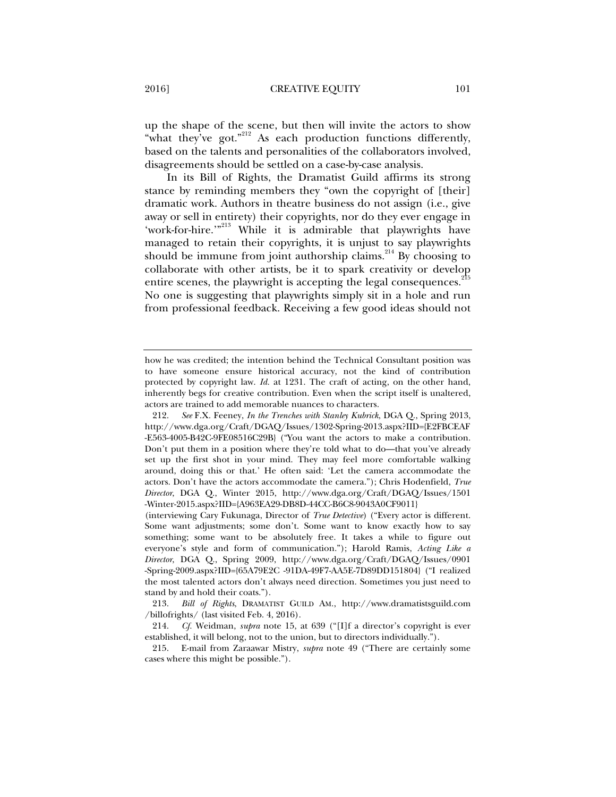up the shape of the scene, but then will invite the actors to show "what they've got."<sup>212</sup> As each production functions differently, based on the talents and personalities of the collaborators involved, disagreements should be settled on a case-by-case analysis.

In its Bill of Rights, the Dramatist Guild affirms its strong stance by reminding members they "own the copyright of [their] dramatic work. Authors in theatre business do not assign (i.e., give away or sell in entirety) their copyrights, nor do they ever engage in 'work-for-hire.'"<sup>213</sup> While it is admirable that playwrights have managed to retain their copyrights, it is unjust to say playwrights should be immune from joint authorship claims.<sup>214</sup> By choosing to collaborate with other artists, be it to spark creativity or develop entire scenes, the playwright is accepting the legal consequences.<sup>215</sup> No one is suggesting that playwrights simply sit in a hole and run from professional feedback. Receiving a few good ideas should not

 213. *Bill of Rights*, DRAMATIST GUILD AM., http://www.dramatistsguild.com /billofrights/ (last visited Feb. 4, 2016).

 214. *Cf.* Weidman, *supra* note 15, at 639 ("[I]f a director's copyright is ever established, it will belong, not to the union, but to directors individually.").

 215. E-mail from Zaraawar Mistry, *supra* note 49 ("There are certainly some cases where this might be possible.").

how he was credited; the intention behind the Technical Consultant position was to have someone ensure historical accuracy, not the kind of contribution protected by copyright law. *Id.* at 1231. The craft of acting, on the other hand, inherently begs for creative contribution. Even when the script itself is unaltered, actors are trained to add memorable nuances to characters.

 <sup>212.</sup> *See* F.X. Feeney, *In the Trenches with Stanley Kubrick*, DGA Q., Spring 2013, http://www.dga.org/Craft/DGAQ/Issues/1302-Spring-2013.aspx?IID={E2FBCEAF -E563-4005-B42C-9FE08516C29B} ("You want the actors to make a contribution. Don't put them in a position where they're told what to do—that you've already set up the first shot in your mind. They may feel more comfortable walking around, doing this or that.' He often said: 'Let the camera accommodate the actors. Don't have the actors accommodate the camera."); Chris Hodenfield, *True Director*, DGA Q., Winter 2015, http://www.dga.org/Craft/DGAQ/Issues/1501 -Winter-2015.aspx?IID={A963EA29-DB8D-44CC-B6C8-9043A0CF9011}

<sup>(</sup>interviewing Cary Fukunaga, Director of *True Detective*) ("Every actor is different. Some want adjustments; some don't. Some want to know exactly how to say something; some want to be absolutely free. It takes a while to figure out everyone's style and form of communication."); Harold Ramis, *Acting Like a Director*, DGA Q., Spring 2009, http://www.dga.org/Craft/DGAQ/Issues/0901 -Spring-2009.aspx?IID={65A79E2C -91DA-49F7-AA5E-7D89DD151804} ("I realized the most talented actors don't always need direction. Sometimes you just need to stand by and hold their coats.").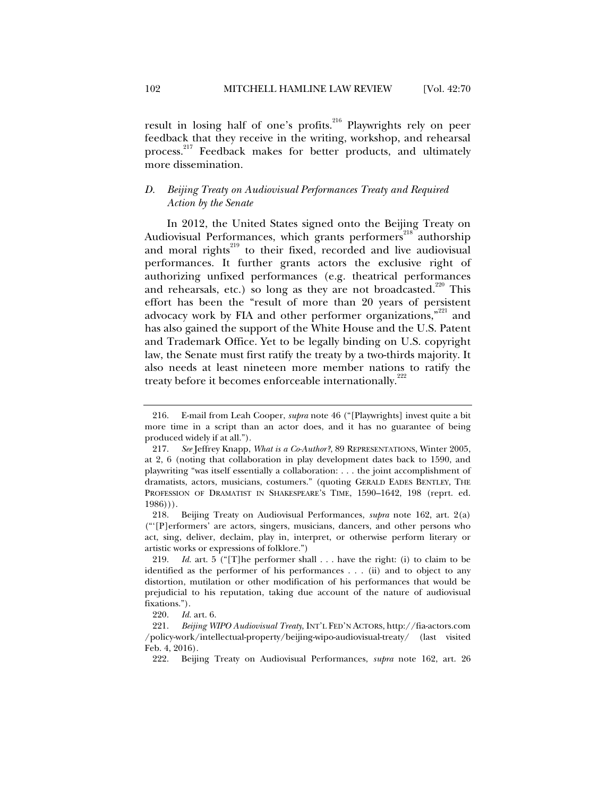result in losing half of one's profits.<sup>216</sup> Playwrights rely on peer feedback that they receive in the writing, workshop, and rehearsal process.<sup>217</sup> Feedback makes for better products, and ultimately more dissemination.

# *D. Beijing Treaty on Audiovisual Performances Treaty and Required Action by the Senate*

In 2012, the United States signed onto the Beijing Treaty on Audiovisual Performances, which grants performers<sup>218</sup> authorship and moral rights<sup>219</sup> to their fixed, recorded and live audiovisual performances. It further grants actors the exclusive right of authorizing unfixed performances (e.g. theatrical performances and rehearsals, etc.) so long as they are not broadcasted.<sup>220</sup> This effort has been the "result of more than 20 years of persistent advocacy work by FIA and other performer organizations,"<sup>221</sup> and has also gained the support of the White House and the U.S. Patent and Trademark Office. Yet to be legally binding on U.S. copyright law, the Senate must first ratify the treaty by a two-thirds majority. It also needs at least nineteen more member nations to ratify the treaty before it becomes enforceable internationally.<sup>222</sup>

 <sup>216.</sup> E-mail from Leah Cooper, *supra* note 46 ("[Playwrights] invest quite a bit more time in a script than an actor does, and it has no guarantee of being produced widely if at all.").

 <sup>217.</sup> *See* Jeffrey Knapp, *What is a Co-Author?*, 89 REPRESENTATIONS, Winter 2005, at 2, 6 (noting that collaboration in play development dates back to 1590, and playwriting "was itself essentially a collaboration: . . . the joint accomplishment of dramatists, actors, musicians, costumers." (quoting GERALD EADES BENTLEY, THE PROFESSION OF DRAMATIST IN SHAKESPEARE'S TIME, 1590–1642, 198 (reprt. ed.  $1986$ ))).

 <sup>218.</sup> Beijing Treaty on Audiovisual Performances, *supra* note 162, art. 2(a) ("'[P]erformers' are actors, singers, musicians, dancers, and other persons who act, sing, deliver, declaim, play in, interpret, or otherwise perform literary or artistic works or expressions of folklore.")

 <sup>219.</sup> *Id.* art. 5 ("[T]he performer shall . . . have the right: (i) to claim to be identified as the performer of his performances . . . (ii) and to object to any distortion, mutilation or other modification of his performances that would be prejudicial to his reputation, taking due account of the nature of audiovisual fixations.").

 <sup>220.</sup> *Id.* art. 6.

 <sup>221.</sup> *Beijing WIPO Audiovisual Treaty*, INT'L FED'N ACTORS, http://fia-actors.com /policy-work/intellectual-property/beijing-wipo-audiovisual-treaty/ (last visited Feb. 4, 2016).

 <sup>222.</sup> Beijing Treaty on Audiovisual Performances, *supra* note 162, art. 26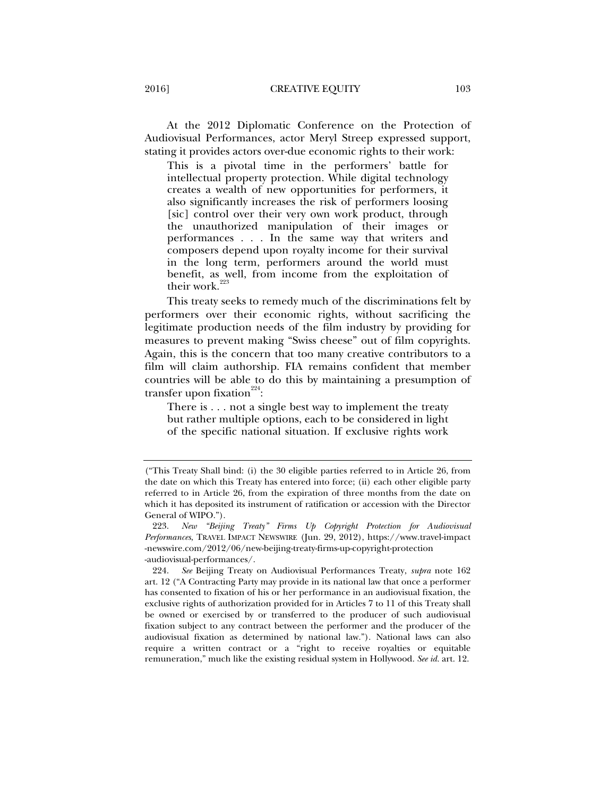At the 2012 Diplomatic Conference on the Protection of Audiovisual Performances, actor Meryl Streep expressed support, stating it provides actors over-due economic rights to their work:

This is a pivotal time in the performers' battle for intellectual property protection. While digital technology creates a wealth of new opportunities for performers, it also significantly increases the risk of performers loosing [sic] control over their very own work product, through the unauthorized manipulation of their images or performances . . . In the same way that writers and composers depend upon royalty income for their survival in the long term, performers around the world must benefit, as well, from income from the exploitation of their work.<sup>223</sup>

This treaty seeks to remedy much of the discriminations felt by performers over their economic rights, without sacrificing the legitimate production needs of the film industry by providing for measures to prevent making "Swiss cheese" out of film copyrights. Again, this is the concern that too many creative contributors to a film will claim authorship. FIA remains confident that member countries will be able to do this by maintaining a presumption of transfer upon fixation $224$ :

There is . . . not a single best way to implement the treaty but rather multiple options, each to be considered in light of the specific national situation. If exclusive rights work

<sup>(&</sup>quot;This Treaty Shall bind: (i) the 30 eligible parties referred to in Article 26, from the date on which this Treaty has entered into force; (ii) each other eligible party referred to in Article 26, from the expiration of three months from the date on which it has deposited its instrument of ratification or accession with the Director General of WIPO.").

 <sup>223.</sup> *New "Beijing Treaty" Firms Up Copyright Protection for Audiovisual Performances*, TRAVEL IMPACT NEWSWIRE (Jun. 29, 2012), https://www.travel-impact -newswire.com/2012/06/new-beijing-treaty-firms-up-copyright-protection -audiovisual-performances/.

 <sup>224.</sup> *See* Beijing Treaty on Audiovisual Performances Treaty, *supra* note 162 art. 12 ("A Contracting Party may provide in its national law that once a performer has consented to fixation of his or her performance in an audiovisual fixation, the exclusive rights of authorization provided for in Articles 7 to 11 of this Treaty shall be owned or exercised by or transferred to the producer of such audiovisual fixation subject to any contract between the performer and the producer of the audiovisual fixation as determined by national law."). National laws can also require a written contract or a "right to receive royalties or equitable remuneration," much like the existing residual system in Hollywood. *See id.* art. 12.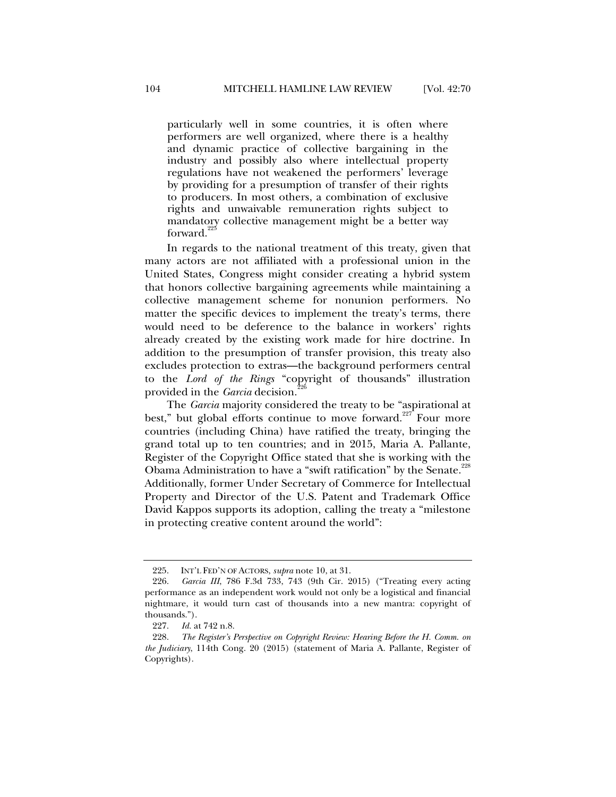particularly well in some countries, it is often where performers are well organized, where there is a healthy and dynamic practice of collective bargaining in the industry and possibly also where intellectual property regulations have not weakened the performers' leverage by providing for a presumption of transfer of their rights to producers. In most others, a combination of exclusive rights and unwaivable remuneration rights subject to mandatory collective management might be a better way forward.

In regards to the national treatment of this treaty, given that many actors are not affiliated with a professional union in the United States, Congress might consider creating a hybrid system that honors collective bargaining agreements while maintaining a collective management scheme for nonunion performers. No matter the specific devices to implement the treaty's terms, there would need to be deference to the balance in workers' rights already created by the existing work made for hire doctrine. In addition to the presumption of transfer provision, this treaty also excludes protection to extras—the background performers central to the *Lord of the Rings* "copyright of thousands" illustration provided in the *Garcia* decision.<sup>2</sup>

The *Garcia* majority considered the treaty to be "aspirational at best," but global efforts continue to move forward.<sup>227</sup> Four more countries (including China) have ratified the treaty, bringing the grand total up to ten countries; and in 2015, Maria A. Pallante, Register of the Copyright Office stated that she is working with the Obama Administration to have a "swift ratification" by the Senate.<sup>228</sup> Additionally, former Under Secretary of Commerce for Intellectual Property and Director of the U.S. Patent and Trademark Office David Kappos supports its adoption, calling the treaty a "milestone in protecting creative content around the world":

 <sup>225.</sup> INT'L FED'N OF ACTORS, *supra* note 10, at 31.

 <sup>226.</sup> *Garcia III*, 786 F.3d 733, 743 (9th Cir. 2015) ("Treating every acting performance as an independent work would not only be a logistical and financial nightmare, it would turn cast of thousands into a new mantra: copyright of thousands.").

 <sup>227.</sup> *Id.* at 742 n.8.

 <sup>228.</sup> *The Register's Perspective on Copyright Review: Hearing Before the H. Comm. on the Judiciary*, 114th Cong. 20 (2015) (statement of Maria A. Pallante, Register of Copyrights).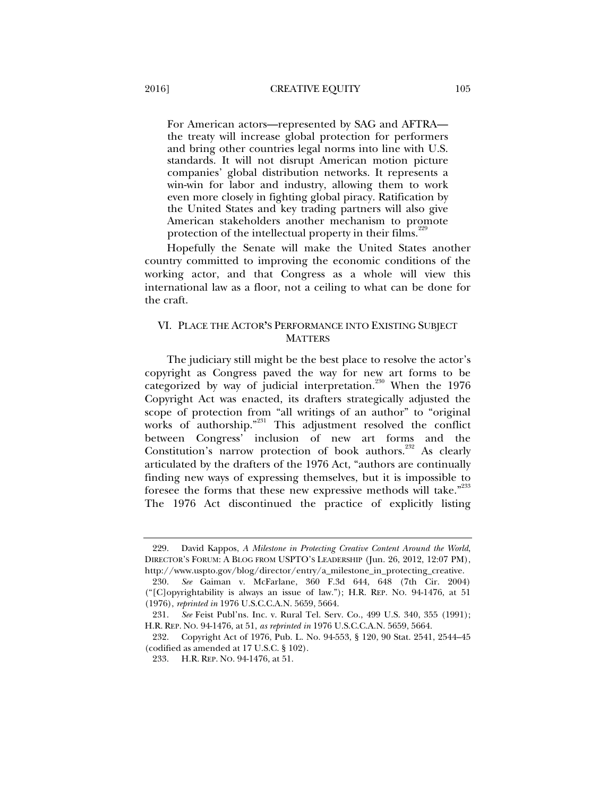For American actors—represented by SAG and AFTRA the treaty will increase global protection for performers and bring other countries legal norms into line with U.S. standards. It will not disrupt American motion picture companies' global distribution networks. It represents a win-win for labor and industry, allowing them to work even more closely in fighting global piracy. Ratification by the United States and key trading partners will also give American stakeholders another mechanism to promote protection of the intellectual property in their films.<sup>22</sup>

Hopefully the Senate will make the United States another country committed to improving the economic conditions of the working actor, and that Congress as a whole will view this international law as a floor, not a ceiling to what can be done for the craft.

# VI. PLACE THE ACTOR**'**S PERFORMANCE INTO EXISTING SUBJECT **MATTERS**

The judiciary still might be the best place to resolve the actor's copyright as Congress paved the way for new art forms to be categorized by way of judicial interpretation.<sup>230</sup> When the 1976 Copyright Act was enacted, its drafters strategically adjusted the scope of protection from "all writings of an author" to "original works of authorship."<sup>231</sup> This adjustment resolved the conflict between Congress' inclusion of new art forms and the Constitution's narrow protection of book authors.<sup>232</sup> As clearly articulated by the drafters of the 1976 Act, "authors are continually finding new ways of expressing themselves, but it is impossible to foresee the forms that these new expressive methods will take."<sup>233</sup> The 1976 Act discontinued the practice of explicitly listing

 <sup>229.</sup> David Kappos, *A Milestone in Protecting Creative Content Around the World*, DIRECTOR'S FORUM: A BLOG FROM USPTO'S LEADERSHIP (Jun. 26, 2012, 12:07 PM), http://www.uspto.gov/blog/director/entry/a\_milestone\_in\_protecting\_creative.

 <sup>230.</sup> *See* Gaiman v. McFarlane, 360 F.3d 644, 648 (7th Cir. 2004) ("[C]opyrightability is always an issue of law."); H.R. REP. NO. 94-1476, at 51 (1976), *reprinted in* 1976 U.S.C.C.A.N. 5659, 5664.

 <sup>231.</sup> *See* Feist Publ'ns. Inc. v. Rural Tel. Serv. Co., 499 U.S. 340, 355 (1991); H.R. REP. NO. 94-1476, at 51, *as reprinted in* 1976 U.S.C.C.A.N. 5659, 5664.

 <sup>232.</sup> Copyright Act of 1976, Pub. L. No. 94-553, § 120, 90 Stat. 2541, 2544–45 (codified as amended at 17 U.S.C. § 102).

 <sup>233.</sup> H.R. REP. NO. 94-1476, at 51.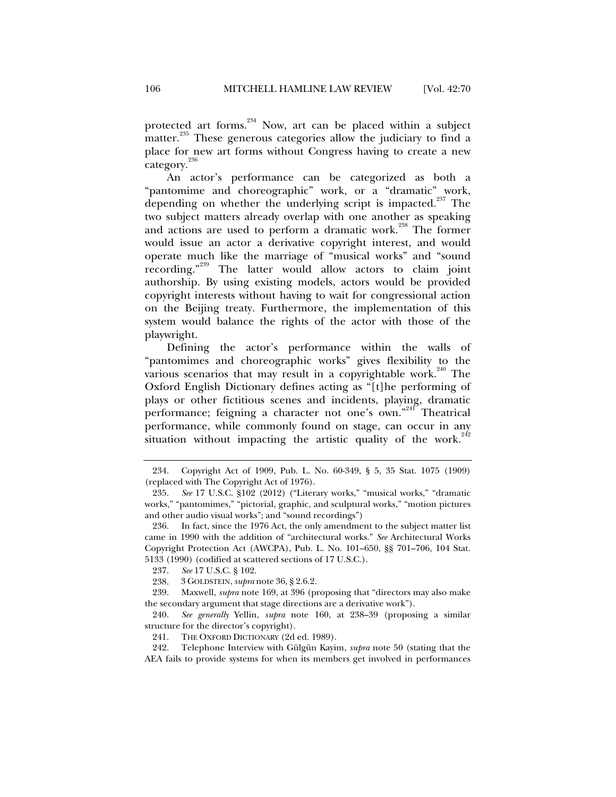protected art forms.<sup>234</sup> Now, art can be placed within a subject matter.<sup>235</sup> These generous categories allow the judiciary to find a place for new art forms without Congress having to create a new category.<sup>236</sup>

An actor's performance can be categorized as both a "pantomime and choreographic" work, or a "dramatic" work, depending on whether the underlying script is impacted.<sup>237</sup> The two subject matters already overlap with one another as speaking and actions are used to perform a dramatic work.<sup>238</sup> The former would issue an actor a derivative copyright interest, and would operate much like the marriage of "musical works" and "sound recording."239 The latter would allow actors to claim joint authorship. By using existing models, actors would be provided copyright interests without having to wait for congressional action on the Beijing treaty. Furthermore, the implementation of this system would balance the rights of the actor with those of the playwright.

Defining the actor's performance within the walls of "pantomimes and choreographic works" gives flexibility to the various scenarios that may result in a copyrightable work.<sup>240</sup> The Oxford English Dictionary defines acting as "[t]he performing of plays or other fictitious scenes and incidents, playing, dramatic performance; feigning a character not one's own."<sup>241</sup> Theatrical performance, while commonly found on stage, can occur in any situation without impacting the artistic quality of the work.<sup>242</sup>

 <sup>234.</sup> Copyright Act of 1909, Pub. L. No. 60-349, § 5, 35 Stat. 1075 (1909) (replaced with The Copyright Act of 1976).

 <sup>235.</sup> *See* 17 U.S.C. §102 (2012) ("Literary works," "musical works," "dramatic works," "pantomimes," "pictorial, graphic, and sculptural works," "motion pictures and other audio visual works"; and "sound recordings")

 <sup>236.</sup> In fact, since the 1976 Act, the only amendment to the subject matter list came in 1990 with the addition of "architectural works." *See* Architectural Works Copyright Protection Act (AWCPA), Pub. L. No. 101–650, §§ 701–706, 104 Stat. 5133 (1990) (codified at scattered sections of 17 U.S.C.).

 <sup>237.</sup> *See* 17 U.S.C. § 102.

 <sup>238. 3</sup> GOLDSTEIN, *supra* note 36, § 2.6.2.

 <sup>239.</sup> Maxwell, *supra* note 169, at 396 (proposing that "directors may also make the secondary argument that stage directions are a derivative work").

 <sup>240.</sup> *See generally* Yellin, *supra* note 160, at 238–39 (proposing a similar structure for the director's copyright).

 <sup>241.</sup> THE OXFORD DICTIONARY (2d ed. 1989).

 <sup>242.</sup> Telephone Interview with Gülgün Kayim, *supra* note 50 (stating that the AEA fails to provide systems for when its members get involved in performances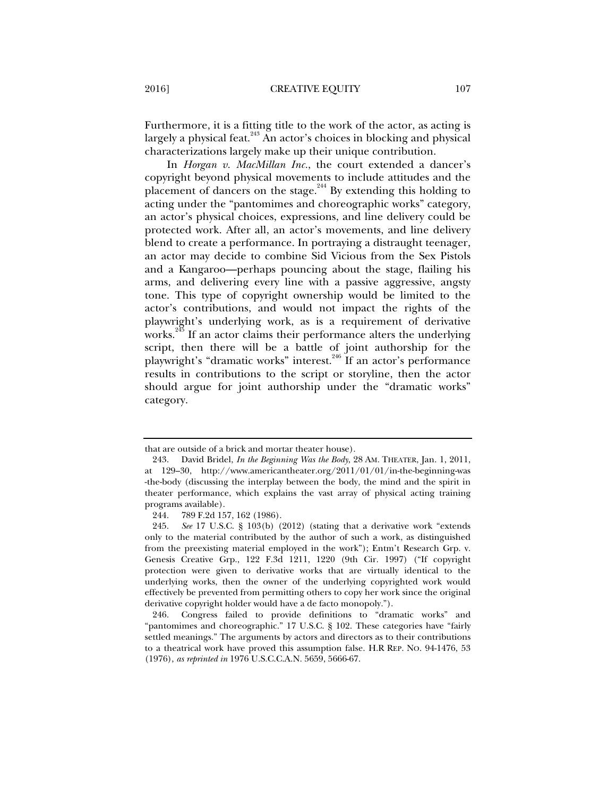Furthermore, it is a fitting title to the work of the actor, as acting is largely a physical feat.<sup>243</sup> An actor's choices in blocking and physical characterizations largely make up their unique contribution.

In *Horgan v. MacMillan Inc.*, the court extended a dancer's copyright beyond physical movements to include attitudes and the placement of dancers on the stage.<sup>244</sup> By extending this holding to acting under the "pantomimes and choreographic works" category, an actor's physical choices, expressions, and line delivery could be protected work. After all, an actor's movements, and line delivery blend to create a performance. In portraying a distraught teenager, an actor may decide to combine Sid Vicious from the Sex Pistols and a Kangaroo—perhaps pouncing about the stage, flailing his arms, and delivering every line with a passive aggressive, angsty tone. This type of copyright ownership would be limited to the actor's contributions, and would not impact the rights of the playwright's underlying work, as is a requirement of derivative works.<sup>245</sup> If an actor claims their performance alters the underlying script, then there will be a battle of joint authorship for the playwright's "dramatic works" interest.<sup>246</sup> If an actor's performance results in contributions to the script or storyline, then the actor should argue for joint authorship under the "dramatic works" category.

that are outside of a brick and mortar theater house).

 <sup>243.</sup> David Bridel, *In the Beginning Was the Body*, 28 AM. THEATER, Jan. 1, 2011, at 129–30, http://www.americantheater.org/2011/01/01/in-the-beginning-was -the-body (discussing the interplay between the body, the mind and the spirit in theater performance, which explains the vast array of physical acting training programs available).

 <sup>244. 789</sup> F.2d 157, 162 (1986).

 <sup>245.</sup> *See* 17 U.S.C. § 103(b) (2012) (stating that a derivative work "extends only to the material contributed by the author of such a work, as distinguished from the preexisting material employed in the work"); Entm't Research Grp. v. Genesis Creative Grp., 122 F.3d 1211, 1220 (9th Cir. 1997) ("If copyright protection were given to derivative works that are virtually identical to the underlying works, then the owner of the underlying copyrighted work would effectively be prevented from permitting others to copy her work since the original derivative copyright holder would have a de facto monopoly.").

 <sup>246.</sup> Congress failed to provide definitions to "dramatic works" and "pantomimes and choreographic." 17 U.S.C. § 102. These categories have "fairly settled meanings." The arguments by actors and directors as to their contributions to a theatrical work have proved this assumption false. H.R REP. NO. 94-1476, 53 (1976), *as reprinted in* 1976 U.S.C.C.A.N. 5659, 5666-67.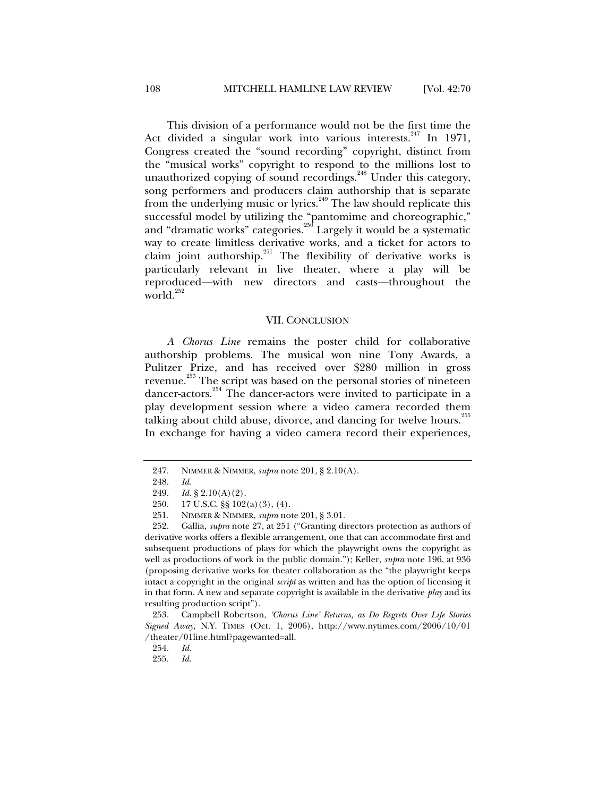This division of a performance would not be the first time the Act divided a singular work into various interests.  $247$  In 1971, Congress created the "sound recording" copyright, distinct from the "musical works" copyright to respond to the millions lost to unauthorized copying of sound recordings.<sup>248</sup> Under this category, song performers and producers claim authorship that is separate from the underlying music or lyrics.<sup>249</sup> The law should replicate this successful model by utilizing the "pantomime and choreographic," and "dramatic works" categories.<sup>250</sup> Largely it would be a systematic way to create limitless derivative works, and a ticket for actors to claim joint authorship.<sup>251</sup> The flexibility of derivative works is particularly relevant in live theater, where a play will be reproduced—with new directors and casts—throughout the world.<sup>252</sup>

#### VII. CONCLUSION

*A Chorus Line* remains the poster child for collaborative authorship problems. The musical won nine Tony Awards, a Pulitzer Prize, and has received over \$280 million in gross revenue.<sup>253</sup> The script was based on the personal stories of nineteen dancer-actors.254 The dancer-actors were invited to participate in a play development session where a video camera recorded them talking about child abuse, divorce, and dancing for twelve hours.<sup>255</sup> In exchange for having a video camera record their experiences,

 <sup>247.</sup> NIMMER & NIMMER, *supra* note 201, § 2.10(A).

 <sup>248.</sup> *Id*.

 <sup>249.</sup> *Id.* § 2.10(A)(2)*.* 

 <sup>250. 17</sup> U.S.C. §§ 102(a)(3), (4).

 <sup>251.</sup> NIMMER & NIMMER, *supra* note 201, § 3.01.

 <sup>252.</sup> Gallia, *supra* note 27, at 251 ("Granting directors protection as authors of derivative works offers a flexible arrangement, one that can accommodate first and subsequent productions of plays for which the playwright owns the copyright as well as productions of work in the public domain."); Keller, *supra* note 196, at 936 (proposing derivative works for theater collaboration as the "the playwright keeps intact a copyright in the original *script* as written and has the option of licensing it in that form. A new and separate copyright is available in the derivative *play* and its resulting production script").

 <sup>253.</sup> Campbell Robertson, *'Chorus Line' Returns, as Do Regrets Over Life Stories Signed Away*, N.Y. TIMES (Oct. 1, 2006), http://www.nytimes.com/2006/10/01 /theater/01line.html?pagewanted=all.

 <sup>254.</sup> *Id.*

 <sup>255.</sup> *Id.*